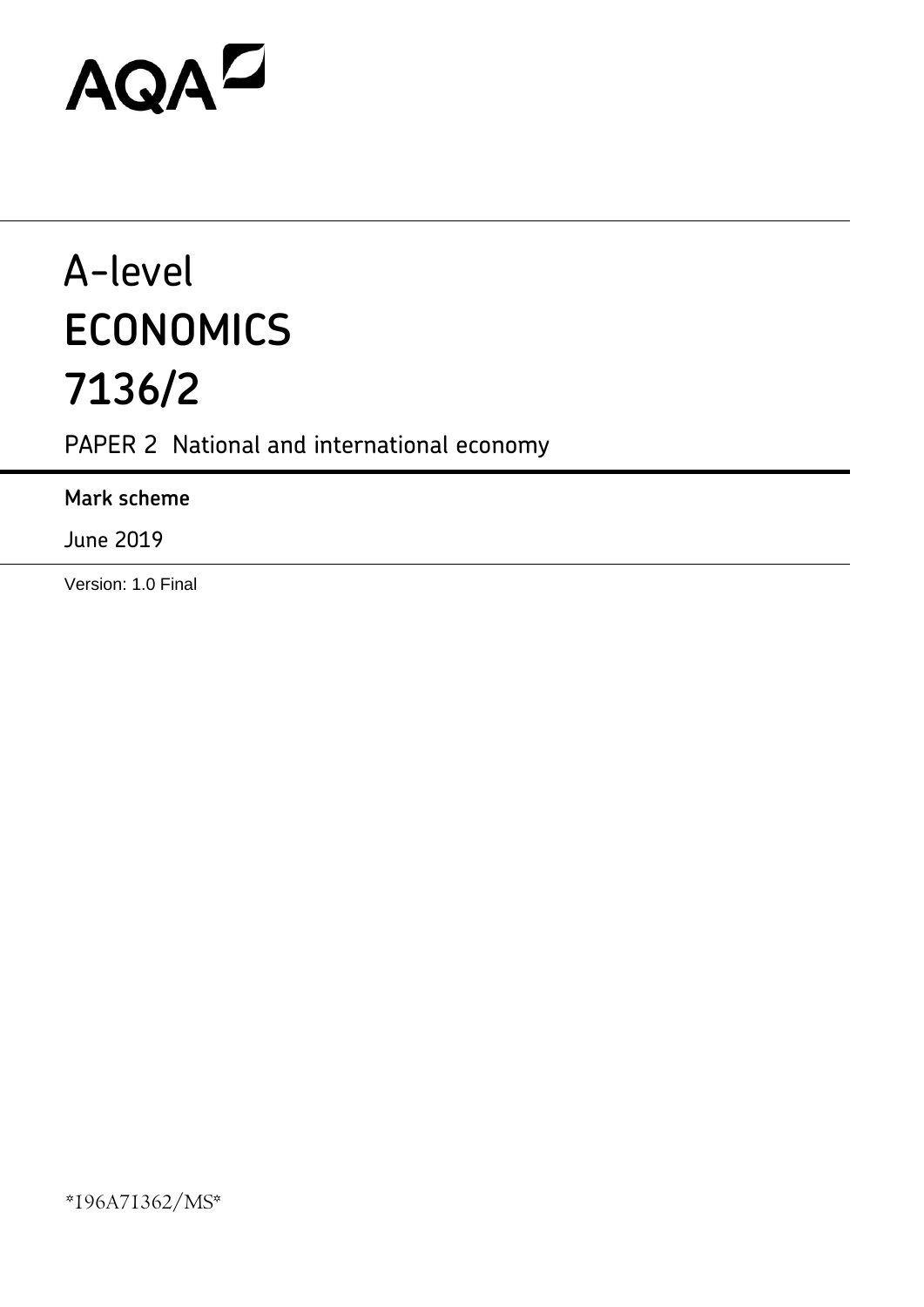# AQAD

## A-level **ECONOMICS 7136/2**

PAPER 2 National and international economy

## **Mark scheme**

June 2019

Version: 1.0 Final

\*196A71362/MS\*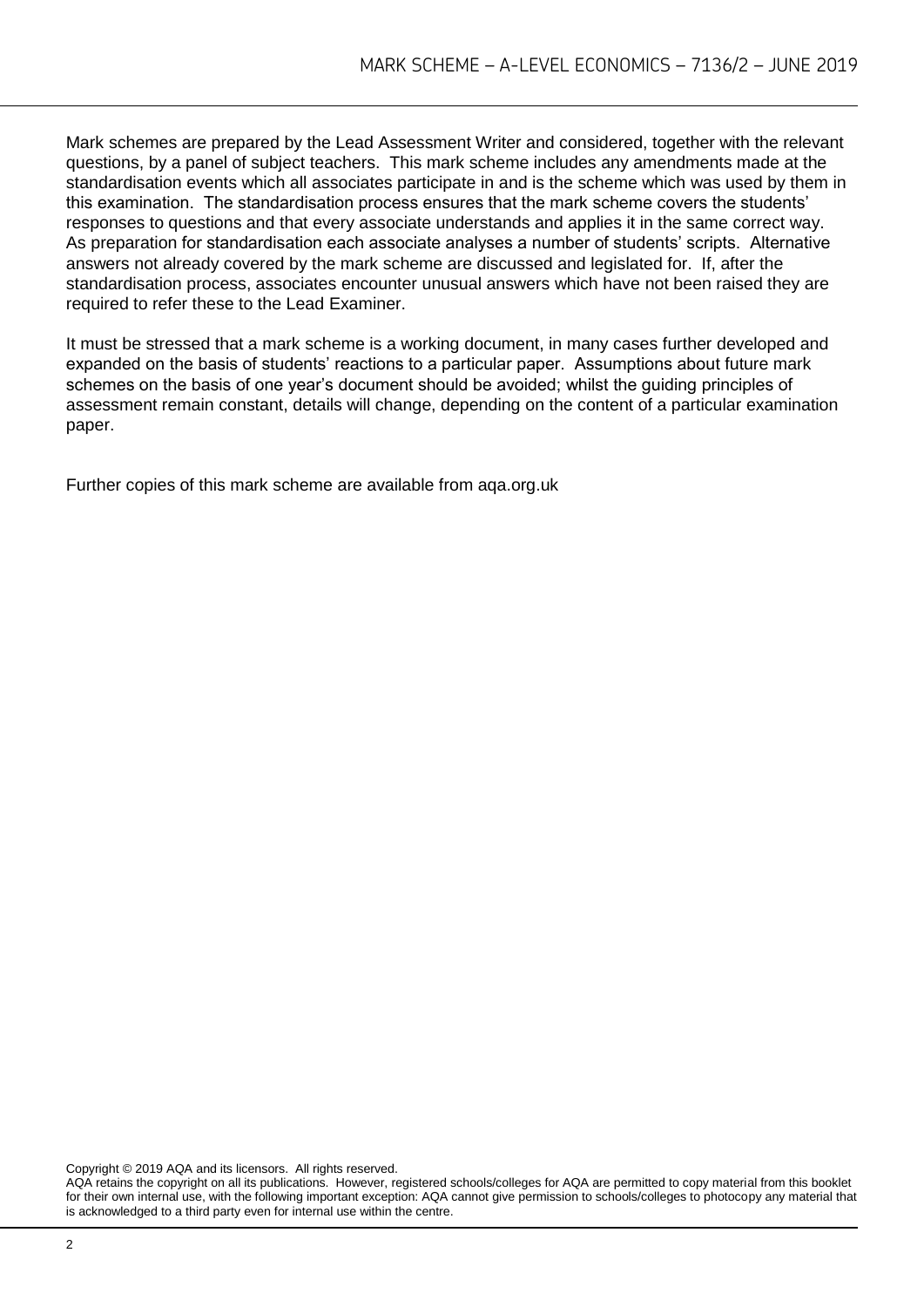Mark schemes are prepared by the Lead Assessment Writer and considered, together with the relevant questions, by a panel of subject teachers. This mark scheme includes any amendments made at the standardisation events which all associates participate in and is the scheme which was used by them in this examination. The standardisation process ensures that the mark scheme covers the students' responses to questions and that every associate understands and applies it in the same correct way. As preparation for standardisation each associate analyses a number of students' scripts. Alternative answers not already covered by the mark scheme are discussed and legislated for. If, after the standardisation process, associates encounter unusual answers which have not been raised they are required to refer these to the Lead Examiner.

It must be stressed that a mark scheme is a working document, in many cases further developed and expanded on the basis of students' reactions to a particular paper. Assumptions about future mark schemes on the basis of one year's document should be avoided; whilst the guiding principles of assessment remain constant, details will change, depending on the content of a particular examination paper.

Further copies of this mark scheme are available from aqa.org.uk

Copyright © 2019 AQA and its licensors. All rights reserved.

AQA retains the copyright on all its publications. However, registered schools/colleges for AQA are permitted to copy material from this booklet for their own internal use, with the following important exception: AQA cannot give permission to schools/colleges to photocopy any material that is acknowledged to a third party even for internal use within the centre.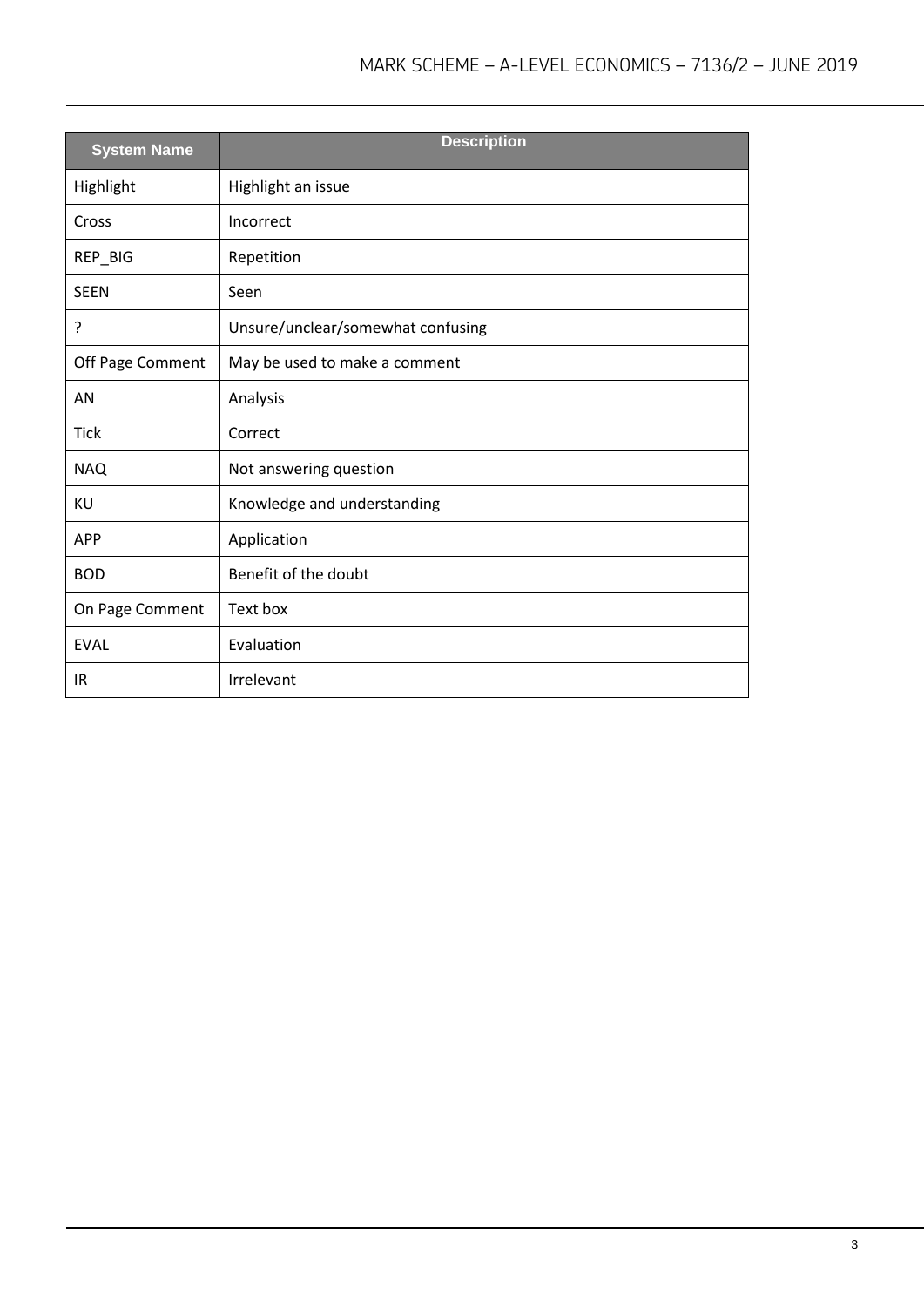| <b>System Name</b> | <b>Description</b>                |
|--------------------|-----------------------------------|
| Highlight          | Highlight an issue                |
| Cross              | Incorrect                         |
| REP_BIG            | Repetition                        |
| <b>SEEN</b>        | Seen                              |
| ?                  | Unsure/unclear/somewhat confusing |
| Off Page Comment   | May be used to make a comment     |
| AN                 | Analysis                          |
| <b>Tick</b>        | Correct                           |
| <b>NAQ</b>         | Not answering question            |
| KU                 | Knowledge and understanding       |
| <b>APP</b>         | Application                       |
| <b>BOD</b>         | Benefit of the doubt              |
| On Page Comment    | Text box                          |
| <b>EVAL</b>        | Evaluation                        |
| IR                 | Irrelevant                        |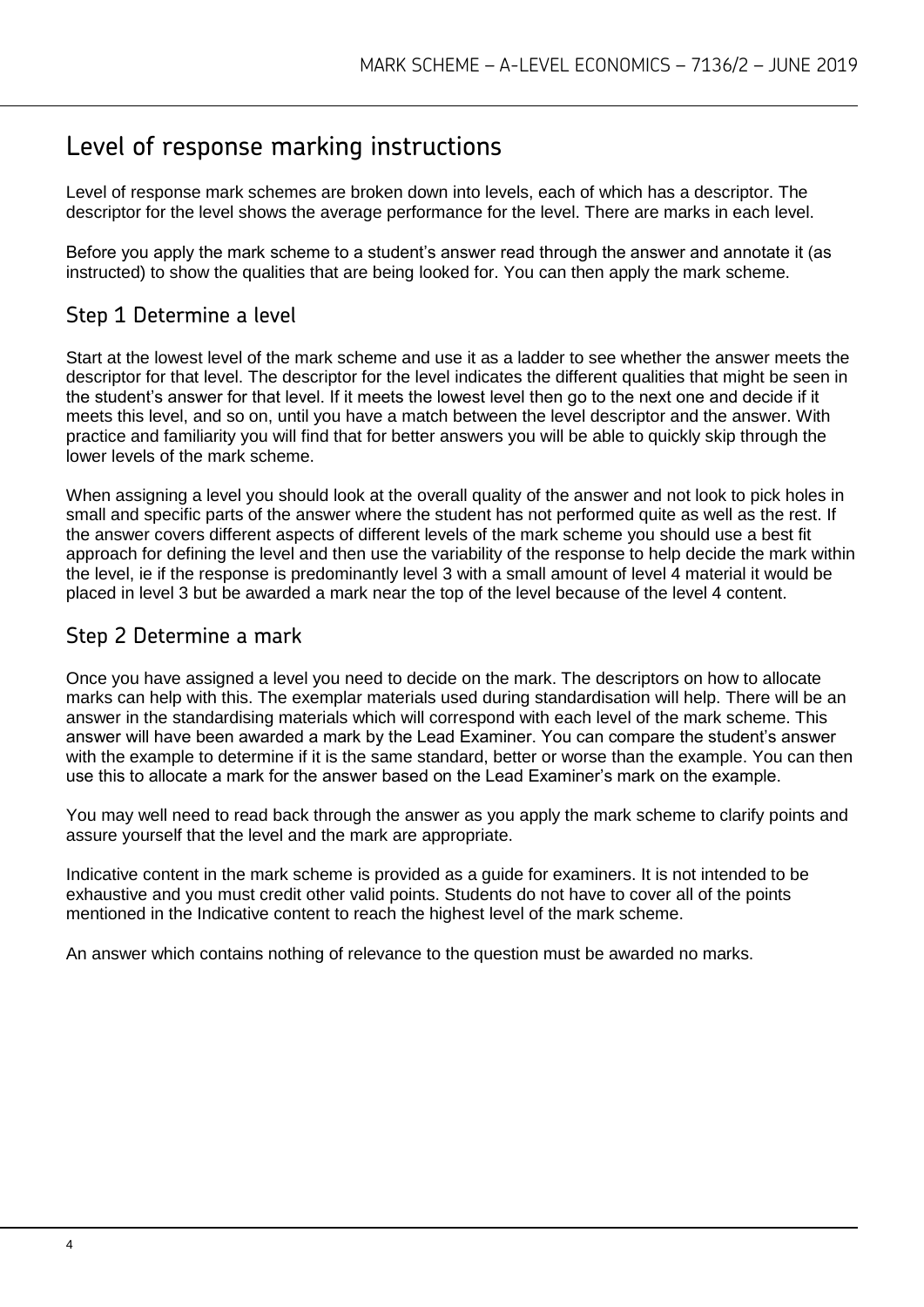## Level of response marking instructions

Level of response mark schemes are broken down into levels, each of which has a descriptor. The descriptor for the level shows the average performance for the level. There are marks in each level.

Before you apply the mark scheme to a student's answer read through the answer and annotate it (as instructed) to show the qualities that are being looked for. You can then apply the mark scheme.

## Step 1 Determine a level

Start at the lowest level of the mark scheme and use it as a ladder to see whether the answer meets the descriptor for that level. The descriptor for the level indicates the different qualities that might be seen in the student's answer for that level. If it meets the lowest level then go to the next one and decide if it meets this level, and so on, until you have a match between the level descriptor and the answer. With practice and familiarity you will find that for better answers you will be able to quickly skip through the lower levels of the mark scheme.

When assigning a level you should look at the overall quality of the answer and not look to pick holes in small and specific parts of the answer where the student has not performed quite as well as the rest. If the answer covers different aspects of different levels of the mark scheme you should use a best fit approach for defining the level and then use the variability of the response to help decide the mark within the level, ie if the response is predominantly level 3 with a small amount of level 4 material it would be placed in level 3 but be awarded a mark near the top of the level because of the level 4 content.

## Step 2 Determine a mark

Once you have assigned a level you need to decide on the mark. The descriptors on how to allocate marks can help with this. The exemplar materials used during standardisation will help. There will be an answer in the standardising materials which will correspond with each level of the mark scheme. This answer will have been awarded a mark by the Lead Examiner. You can compare the student's answer with the example to determine if it is the same standard, better or worse than the example. You can then use this to allocate a mark for the answer based on the Lead Examiner's mark on the example.

You may well need to read back through the answer as you apply the mark scheme to clarify points and assure yourself that the level and the mark are appropriate.

Indicative content in the mark scheme is provided as a guide for examiners. It is not intended to be exhaustive and you must credit other valid points. Students do not have to cover all of the points mentioned in the Indicative content to reach the highest level of the mark scheme.

An answer which contains nothing of relevance to the question must be awarded no marks.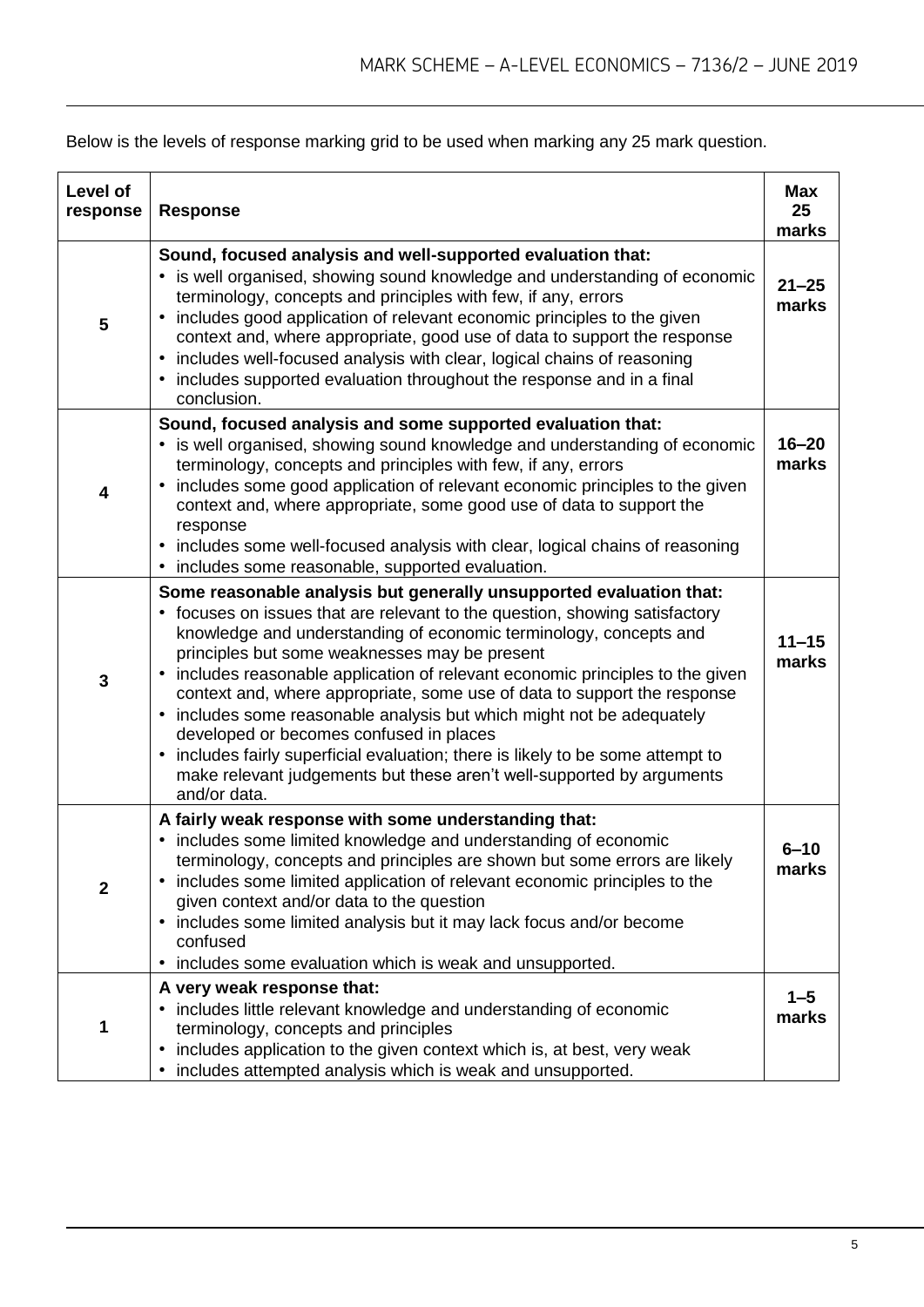Below is the levels of response marking grid to be used when marking any 25 mark question.

| Level of<br>response | <b>Response</b>                                                                                                                                                                                                                                                                                                                                                                                                                                                                                                                                                                                                                                                                                                                                            | Max<br>25<br>marks |
|----------------------|------------------------------------------------------------------------------------------------------------------------------------------------------------------------------------------------------------------------------------------------------------------------------------------------------------------------------------------------------------------------------------------------------------------------------------------------------------------------------------------------------------------------------------------------------------------------------------------------------------------------------------------------------------------------------------------------------------------------------------------------------------|--------------------|
| 5                    | Sound, focused analysis and well-supported evaluation that:<br>• is well organised, showing sound knowledge and understanding of economic<br>terminology, concepts and principles with few, if any, errors<br>includes good application of relevant economic principles to the given<br>$\bullet$<br>context and, where appropriate, good use of data to support the response<br>• includes well-focused analysis with clear, logical chains of reasoning<br>• includes supported evaluation throughout the response and in a final<br>conclusion.                                                                                                                                                                                                         | $21 - 25$<br>marks |
| 4                    | Sound, focused analysis and some supported evaluation that:<br>• is well organised, showing sound knowledge and understanding of economic<br>terminology, concepts and principles with few, if any, errors<br>includes some good application of relevant economic principles to the given<br>context and, where appropriate, some good use of data to support the<br>response<br>• includes some well-focused analysis with clear, logical chains of reasoning<br>• includes some reasonable, supported evaluation.                                                                                                                                                                                                                                        | $16 - 20$<br>marks |
| 3                    | Some reasonable analysis but generally unsupported evaluation that:<br>focuses on issues that are relevant to the question, showing satisfactory<br>knowledge and understanding of economic terminology, concepts and<br>principles but some weaknesses may be present<br>includes reasonable application of relevant economic principles to the given<br>$\bullet$<br>context and, where appropriate, some use of data to support the response<br>• includes some reasonable analysis but which might not be adequately<br>developed or becomes confused in places<br>includes fairly superficial evaluation; there is likely to be some attempt to<br>$\bullet$<br>make relevant judgements but these aren't well-supported by arguments<br>and/or data. | $11 - 15$<br>marks |
| $\mathbf{2}$         | A fairly weak response with some understanding that:<br>includes some limited knowledge and understanding of economic<br>٠<br>terminology, concepts and principles are shown but some errors are likely<br>includes some limited application of relevant economic principles to the<br>given context and/or data to the question<br>• includes some limited analysis but it may lack focus and/or become<br>confused<br>• includes some evaluation which is weak and unsupported.                                                                                                                                                                                                                                                                          | $6 - 10$<br>marks  |
| 1                    | A very weak response that:<br>• includes little relevant knowledge and understanding of economic<br>terminology, concepts and principles<br>includes application to the given context which is, at best, very weak<br>٠<br>• includes attempted analysis which is weak and unsupported.                                                                                                                                                                                                                                                                                                                                                                                                                                                                    | $1 - 5$<br>marks   |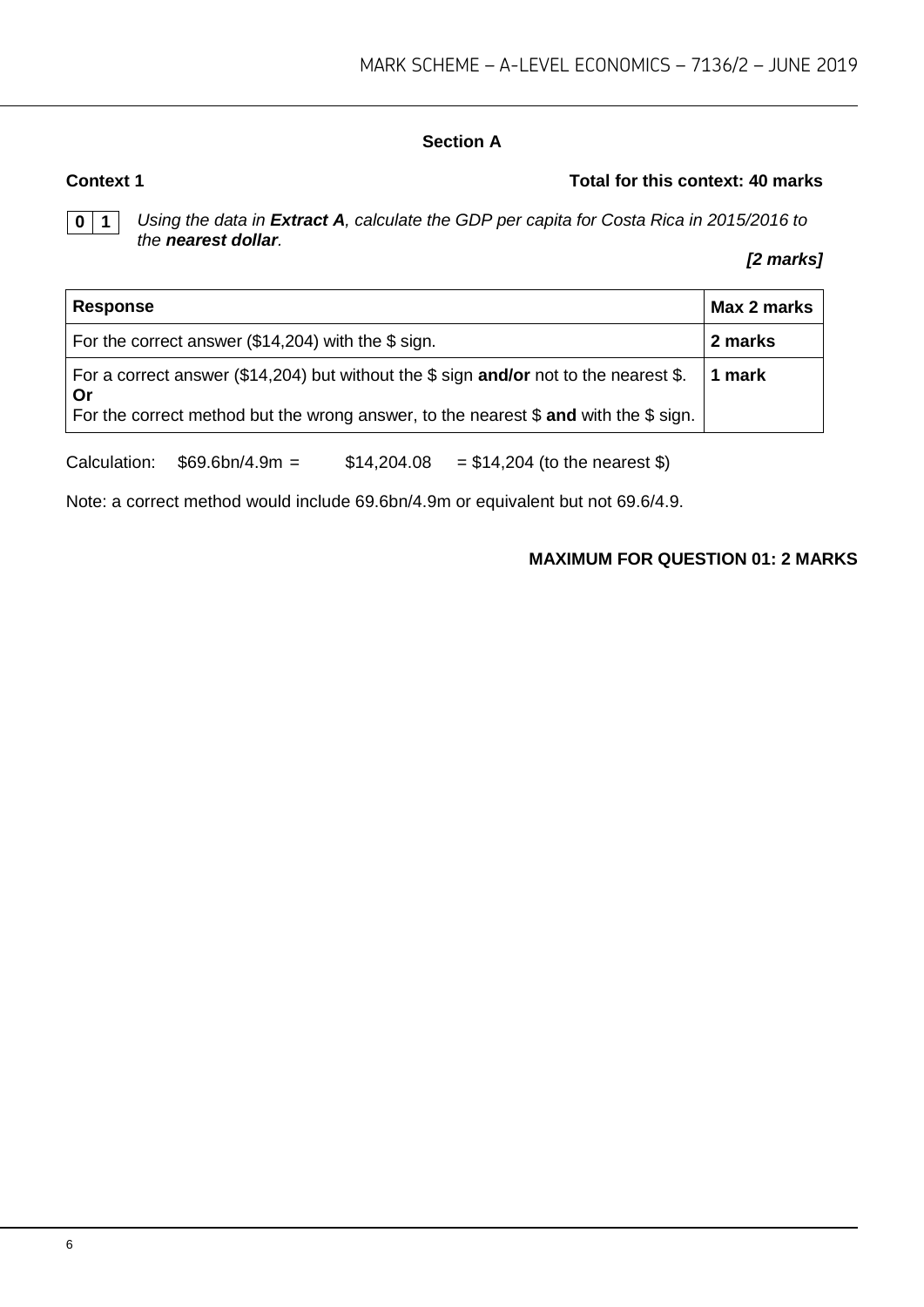#### **Section A**

#### **Context 1 Total for this context: 40 marks**

**0 1** *Using the data in Extract A, calculate the GDP per capita for Costa Rica in 2015/2016 to the nearest dollar.*

#### *[2 marks]*

| <b>Response</b>                                                                                                                                                                       | Max 2 marks |
|---------------------------------------------------------------------------------------------------------------------------------------------------------------------------------------|-------------|
| For the correct answer (\$14,204) with the \$ sign.                                                                                                                                   | 2 marks     |
| For a correct answer (\$14,204) but without the \$ sign and/or not to the nearest \$.<br>. Or<br>For the correct method but the wrong answer, to the nearest \$ and with the \$ sign. | 1 mark      |

Calculation:  $$69.6bn/4.9m = $14,204.08 = $14,204$  (to the nearest \$)

Note: a correct method would include 69.6bn/4.9m or equivalent but not 69.6/4.9.

#### **MAXIMUM FOR QUESTION 01: 2 MARKS**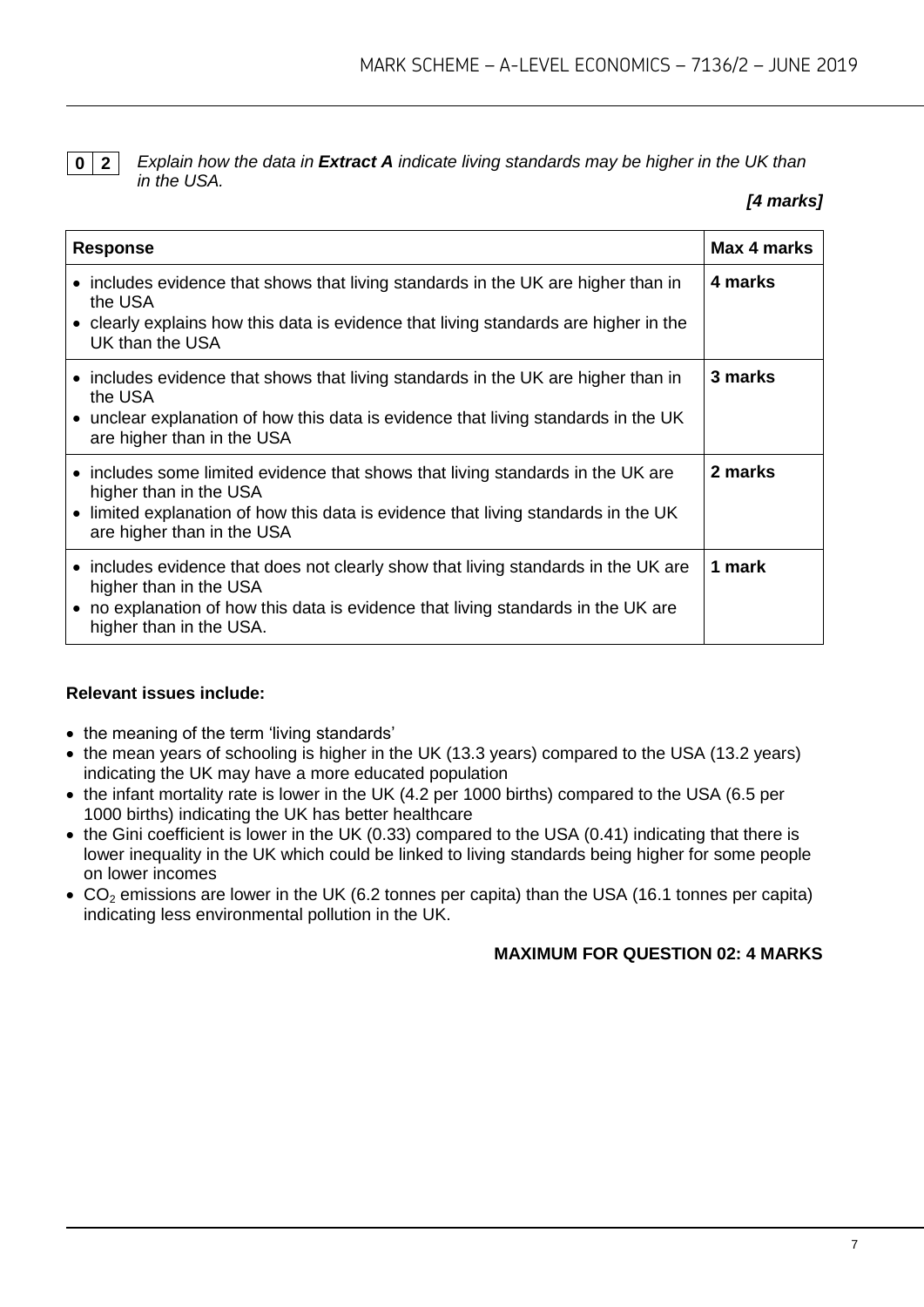**0 2** *Explain how the data in Extract A indicate living standards may be higher in the UK than in the USA.*

#### *[4 marks]*

| <b>Response</b>                                                                                                                                                                                                               | Max 4 marks |
|-------------------------------------------------------------------------------------------------------------------------------------------------------------------------------------------------------------------------------|-------------|
| • includes evidence that shows that living standards in the UK are higher than in<br>the USA<br>• clearly explains how this data is evidence that living standards are higher in the<br>UK than the USA                       | 4 marks     |
| • includes evidence that shows that living standards in the UK are higher than in<br>the USA<br>• unclear explanation of how this data is evidence that living standards in the UK<br>are higher than in the USA              | 3 marks     |
| • includes some limited evidence that shows that living standards in the UK are<br>higher than in the USA<br>• limited explanation of how this data is evidence that living standards in the UK<br>are higher than in the USA | 2 marks     |
| • includes evidence that does not clearly show that living standards in the UK are<br>higher than in the USA<br>• no explanation of how this data is evidence that living standards in the UK are<br>higher than in the USA.  | 1 mark      |

#### **Relevant issues include:**

- the meaning of the term 'living standards'
- the mean years of schooling is higher in the UK (13.3 years) compared to the USA (13.2 years) indicating the UK may have a more educated population
- the infant mortality rate is lower in the UK (4.2 per 1000 births) compared to the USA (6.5 per 1000 births) indicating the UK has better healthcare
- the Gini coefficient is lower in the UK (0.33) compared to the USA (0.41) indicating that there is lower inequality in the UK which could be linked to living standards being higher for some people on lower incomes
- $\bullet$  CO<sub>2</sub> emissions are lower in the UK (6.2 tonnes per capita) than the USA (16.1 tonnes per capita) indicating less environmental pollution in the UK.

#### **MAXIMUM FOR QUESTION 02: 4 MARKS**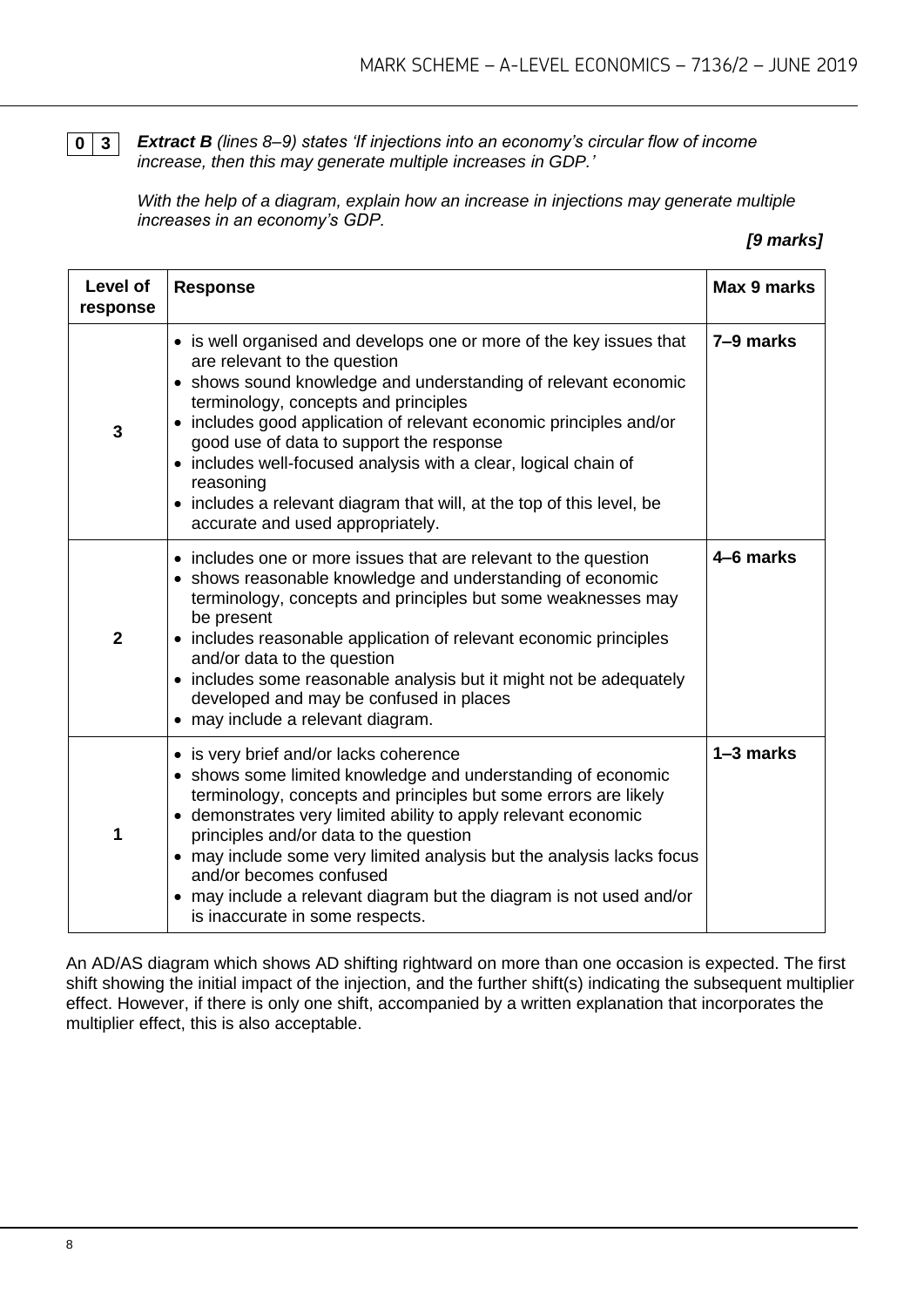**0 3** *Extract B (lines 8–9) states 'If injections into an economy's circular flow of income increase, then this may generate multiple increases in GDP.'*

*With the help of a diagram, explain how an increase in injections may generate multiple increases in an economy's GDP.*

#### *[9 marks]*

| Level of<br>response | <b>Response</b>                                                                                                                                                                                                                                                                                                                                                                                                                                                                                                        | Max 9 marks |
|----------------------|------------------------------------------------------------------------------------------------------------------------------------------------------------------------------------------------------------------------------------------------------------------------------------------------------------------------------------------------------------------------------------------------------------------------------------------------------------------------------------------------------------------------|-------------|
| 3                    | • is well organised and develops one or more of the key issues that<br>are relevant to the question<br>• shows sound knowledge and understanding of relevant economic<br>terminology, concepts and principles<br>includes good application of relevant economic principles and/or<br>good use of data to support the response<br>includes well-focused analysis with a clear, logical chain of<br>reasoning<br>includes a relevant diagram that will, at the top of this level, be<br>accurate and used appropriately. | 7-9 marks   |
| $\overline{2}$       | • includes one or more issues that are relevant to the question<br>shows reasonable knowledge and understanding of economic<br>terminology, concepts and principles but some weaknesses may<br>be present<br>includes reasonable application of relevant economic principles<br>and/or data to the question<br>• includes some reasonable analysis but it might not be adequately<br>developed and may be confused in places<br>may include a relevant diagram.                                                        | 4-6 marks   |
| 1                    | • is very brief and/or lacks coherence<br>• shows some limited knowledge and understanding of economic<br>terminology, concepts and principles but some errors are likely<br>• demonstrates very limited ability to apply relevant economic<br>principles and/or data to the question<br>• may include some very limited analysis but the analysis lacks focus<br>and/or becomes confused<br>may include a relevant diagram but the diagram is not used and/or<br>is inaccurate in some respects.                      | 1-3 marks   |

An AD/AS diagram which shows AD shifting rightward on more than one occasion is expected. The first shift showing the initial impact of the injection, and the further shift(s) indicating the subsequent multiplier effect. However, if there is only one shift, accompanied by a written explanation that incorporates the multiplier effect, this is also acceptable.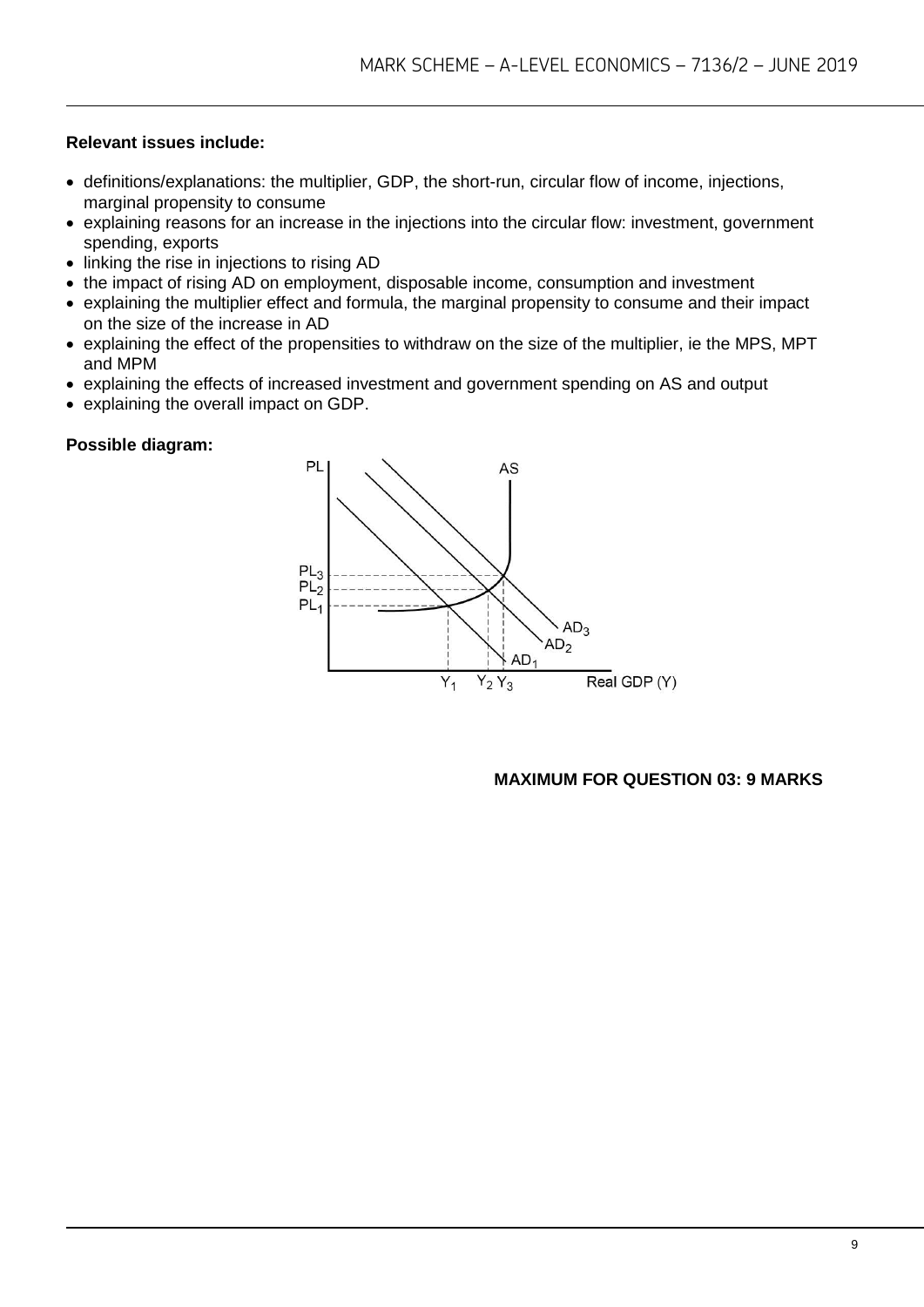#### **Relevant issues include:**

- definitions/explanations: the multiplier, GDP, the short-run, circular flow of income, injections, marginal propensity to consume
- explaining reasons for an increase in the injections into the circular flow: investment, government spending, exports
- linking the rise in injections to rising AD
- the impact of rising AD on employment, disposable income, consumption and investment
- explaining the multiplier effect and formula, the marginal propensity to consume and their impact on the size of the increase in AD
- explaining the effect of the propensities to withdraw on the size of the multiplier, ie the MPS, MPT and MPM
- explaining the effects of increased investment and government spending on AS and output
- explaining the overall impact on GDP.

#### **Possible diagram:**



#### **MAXIMUM FOR QUESTION 03: 9 MARKS**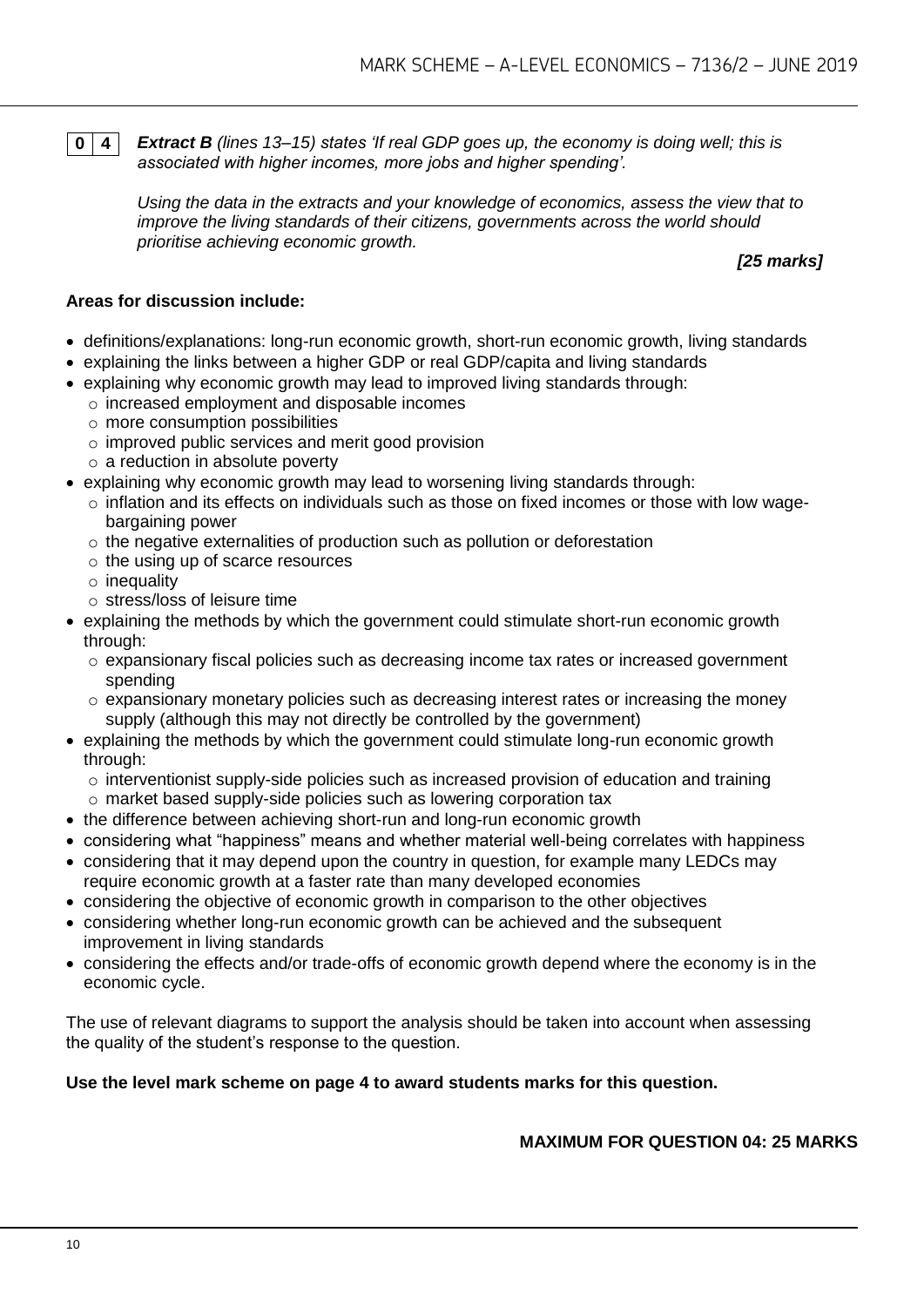**0 4** *Extract B (lines 13–15) states 'If real GDP goes up, the economy is doing well; this is associated with higher incomes, more jobs and higher spending'.*

*Using the data in the extracts and your knowledge of economics, assess the view that to improve the living standards of their citizens, governments across the world should prioritise achieving economic growth.*

*[25 marks]*

#### **Areas for discussion include:**

- definitions/explanations: long-run economic growth, short-run economic growth, living standards
- explaining the links between a higher GDP or real GDP/capita and living standards
- explaining why economic growth may lead to improved living standards through:
	- o increased employment and disposable incomes
		- $\circ$  more consumption possibilities
		- o improved public services and merit good provision
		- $\circ$  a reduction in absolute poverty
- explaining why economic growth may lead to worsening living standards through:
	- o inflation and its effects on individuals such as those on fixed incomes or those with low wagebargaining power
	- o the negative externalities of production such as pollution or deforestation
	- o the using up of scarce resources
	- $\circ$  inequality
	- o stress/loss of leisure time
- explaining the methods by which the government could stimulate short-run economic growth through:
	- o expansionary fiscal policies such as decreasing income tax rates or increased government spending
	- o expansionary monetary policies such as decreasing interest rates or increasing the money supply (although this may not directly be controlled by the government)
- explaining the methods by which the government could stimulate long-run economic growth through:
	- $\circ$  interventionist supply-side policies such as increased provision of education and training
	- o market based supply-side policies such as lowering corporation tax
- the difference between achieving short-run and long-run economic growth
- considering what "happiness" means and whether material well-being correlates with happiness
- considering that it may depend upon the country in question, for example many LEDCs may require economic growth at a faster rate than many developed economies
- considering the objective of economic growth in comparison to the other objectives
- considering whether long-run economic growth can be achieved and the subsequent improvement in living standards
- considering the effects and/or trade-offs of economic growth depend where the economy is in the economic cycle.

The use of relevant diagrams to support the analysis should be taken into account when assessing the quality of the student's response to the question.

## **Use the level mark scheme on page 4 to award students marks for this question.**

**MAXIMUM FOR QUESTION 04: 25 MARKS**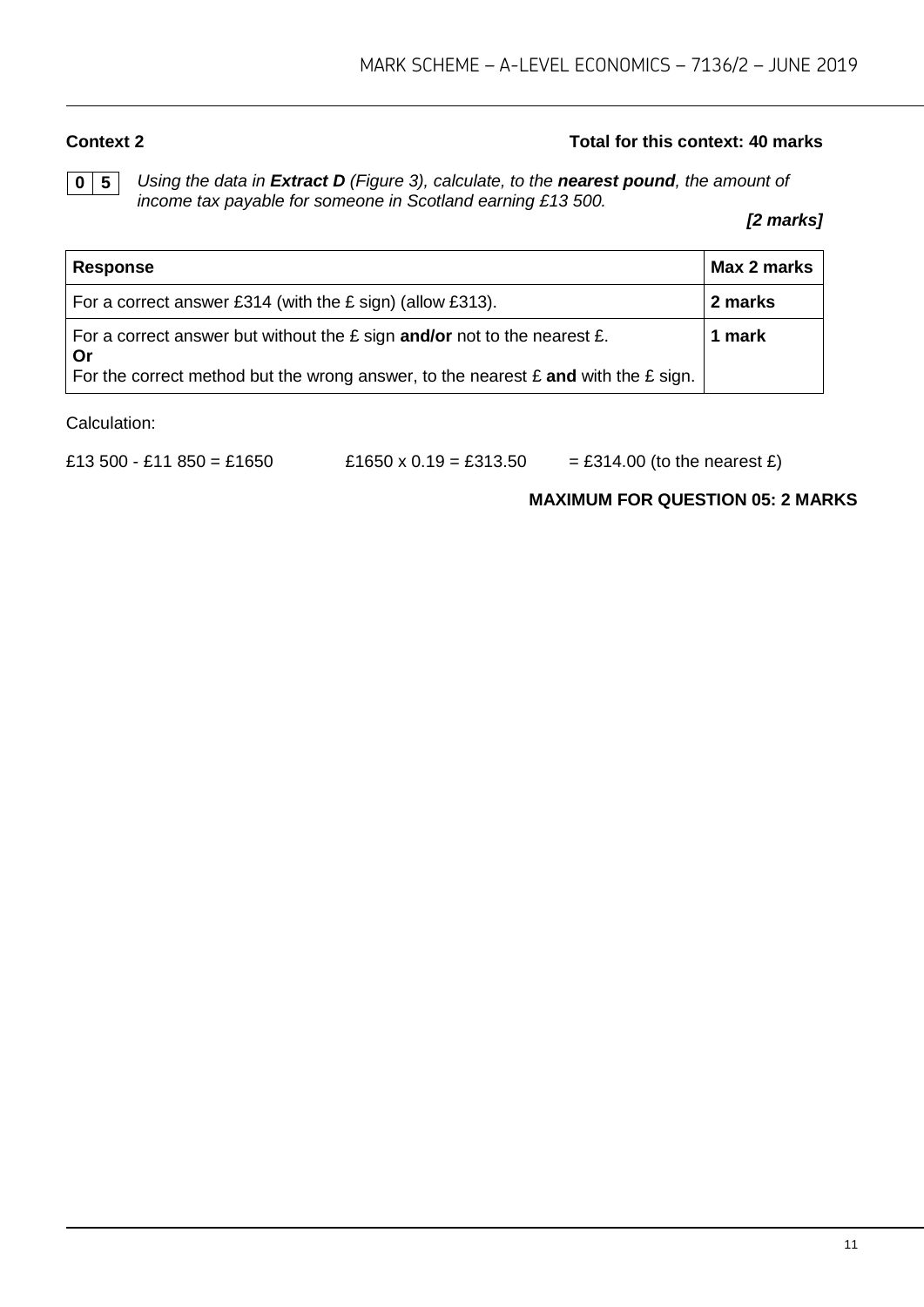#### **Context 2 Total for this context: 40 marks**

**0 5** *Using the data in Extract D (Figure 3), calculate, to the nearest pound, the amount of income tax payable for someone in Scotland earning £13 500.*

*[2 marks]*

| <b>Response</b>                                                                                      | Max 2 marks |
|------------------------------------------------------------------------------------------------------|-------------|
| For a correct answer £314 (with the $E$ sign) (allow £313).                                          | 2 marks     |
| For a correct answer but without the $E$ sign and/or not to the nearest $E$ .<br>Or                  | 1 mark      |
| For the correct method but the wrong answer, to the nearest $\epsilon$ and with the $\epsilon$ sign. |             |

Calculation:

£13 500 - £11 850 = £1650  $\angle$  £1650 x 0.19 = £313.50 = £314.00 (to the nearest £)

#### **MAXIMUM FOR QUESTION 05: 2 MARKS**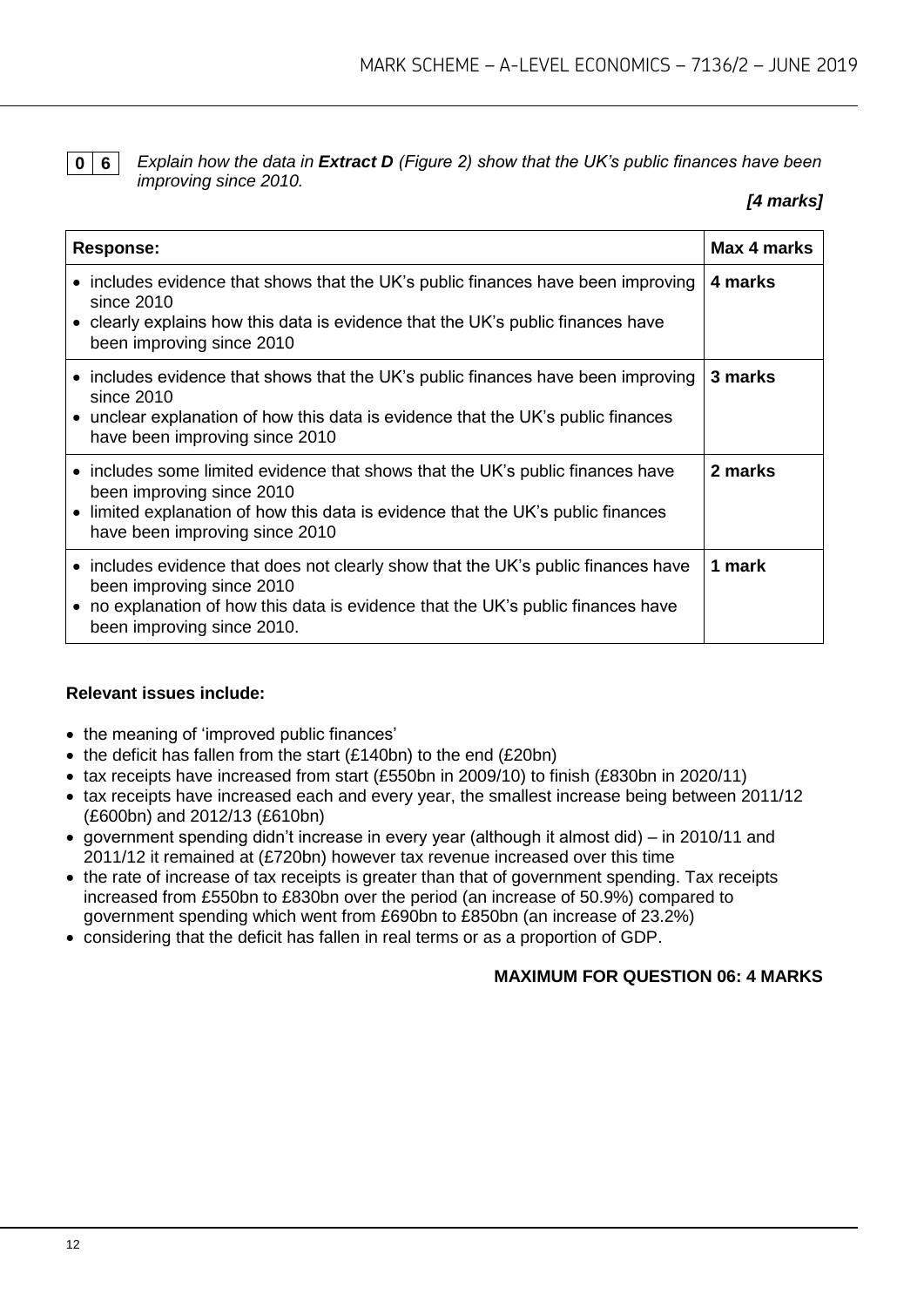**0 6** *Explain how the data in Extract D (Figure 2) show that the UK's public finances have been improving since 2010.*

#### *[4 marks]*

| <b>Response:</b>                                                                                                                                                                                                                  | Max 4 marks |
|-----------------------------------------------------------------------------------------------------------------------------------------------------------------------------------------------------------------------------------|-------------|
| • includes evidence that shows that the UK's public finances have been improving<br>since $2010$<br>• clearly explains how this data is evidence that the UK's public finances have<br>been improving since 2010                  | 4 marks     |
| • includes evidence that shows that the UK's public finances have been improving<br>since $2010$<br>• unclear explanation of how this data is evidence that the UK's public finances<br>have been improving since 2010            | 3 marks     |
| • includes some limited evidence that shows that the UK's public finances have<br>been improving since 2010<br>• limited explanation of how this data is evidence that the UK's public finances<br>have been improving since 2010 | 2 marks     |
| • includes evidence that does not clearly show that the UK's public finances have<br>been improving since 2010<br>• no explanation of how this data is evidence that the UK's public finances have<br>been improving since 2010.  | 1 mark      |

#### **Relevant issues include:**

- the meaning of 'improved public finances'
- $\bullet$  the deficit has fallen from the start (£140bn) to the end (£20bn)
- tax receipts have increased from start (£550bn in 2009/10) to finish (£830bn in 2020/11)
- tax receipts have increased each and every year, the smallest increase being between 2011/12 (£600bn) and 2012/13 (£610bn)
- government spending didn't increase in every year (although it almost did) in 2010/11 and 2011/12 it remained at (£720bn) however tax revenue increased over this time
- the rate of increase of tax receipts is greater than that of government spending. Tax receipts increased from £550bn to £830bn over the period (an increase of 50.9%) compared to government spending which went from £690bn to £850bn (an increase of 23.2%)
- considering that the deficit has fallen in real terms or as a proportion of GDP.

#### **MAXIMUM FOR QUESTION 06: 4 MARKS**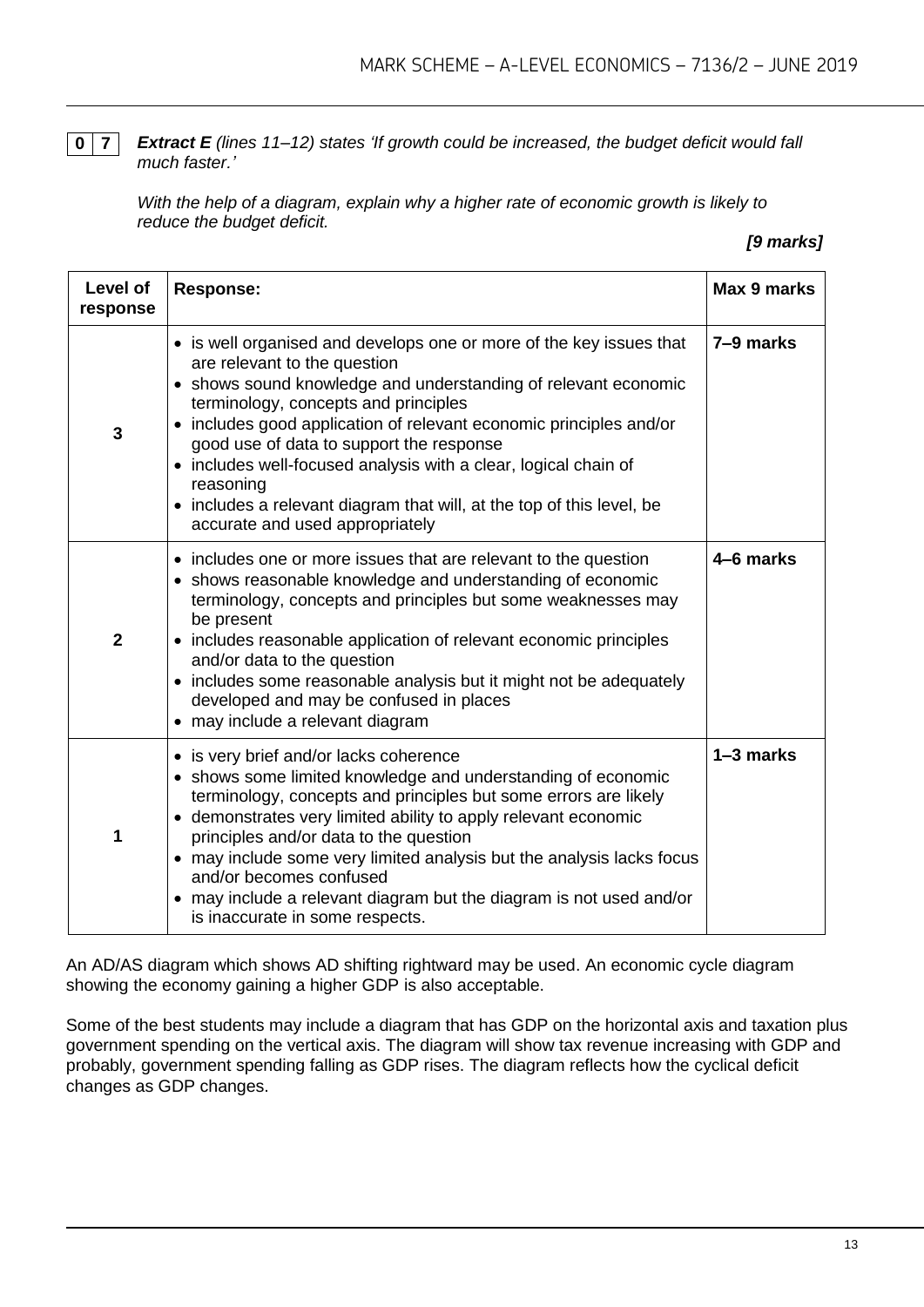**0 7** *Extract E (lines 11–12) states 'If growth could be increased, the budget deficit would fall much faster.'*

*With the help of a diagram, explain why a higher rate of economic growth is likely to reduce the budget deficit.*

#### *[9 marks]*

| <b>Level of</b><br>response | <b>Response:</b>                                                                                                                                                                                                                                                                                                                                                                                                                                                                                                            | Max 9 marks |
|-----------------------------|-----------------------------------------------------------------------------------------------------------------------------------------------------------------------------------------------------------------------------------------------------------------------------------------------------------------------------------------------------------------------------------------------------------------------------------------------------------------------------------------------------------------------------|-------------|
| 3                           | • is well organised and develops one or more of the key issues that<br>are relevant to the question<br>• shows sound knowledge and understanding of relevant economic<br>terminology, concepts and principles<br>• includes good application of relevant economic principles and/or<br>good use of data to support the response<br>• includes well-focused analysis with a clear, logical chain of<br>reasoning<br>• includes a relevant diagram that will, at the top of this level, be<br>accurate and used appropriately | 7–9 marks   |
| $\overline{2}$              | • includes one or more issues that are relevant to the question<br>• shows reasonable knowledge and understanding of economic<br>terminology, concepts and principles but some weaknesses may<br>be present<br>includes reasonable application of relevant economic principles<br>and/or data to the question<br>• includes some reasonable analysis but it might not be adequately<br>developed and may be confused in places<br>• may include a relevant diagram                                                          | 4-6 marks   |
| 1                           | • is very brief and/or lacks coherence<br>• shows some limited knowledge and understanding of economic<br>terminology, concepts and principles but some errors are likely<br>• demonstrates very limited ability to apply relevant economic<br>principles and/or data to the question<br>• may include some very limited analysis but the analysis lacks focus<br>and/or becomes confused<br>• may include a relevant diagram but the diagram is not used and/or<br>is inaccurate in some respects.                         | 1-3 marks   |

An AD/AS diagram which shows AD shifting rightward may be used. An economic cycle diagram showing the economy gaining a higher GDP is also acceptable.

Some of the best students may include a diagram that has GDP on the horizontal axis and taxation plus government spending on the vertical axis. The diagram will show tax revenue increasing with GDP and probably, government spending falling as GDP rises. The diagram reflects how the cyclical deficit changes as GDP changes.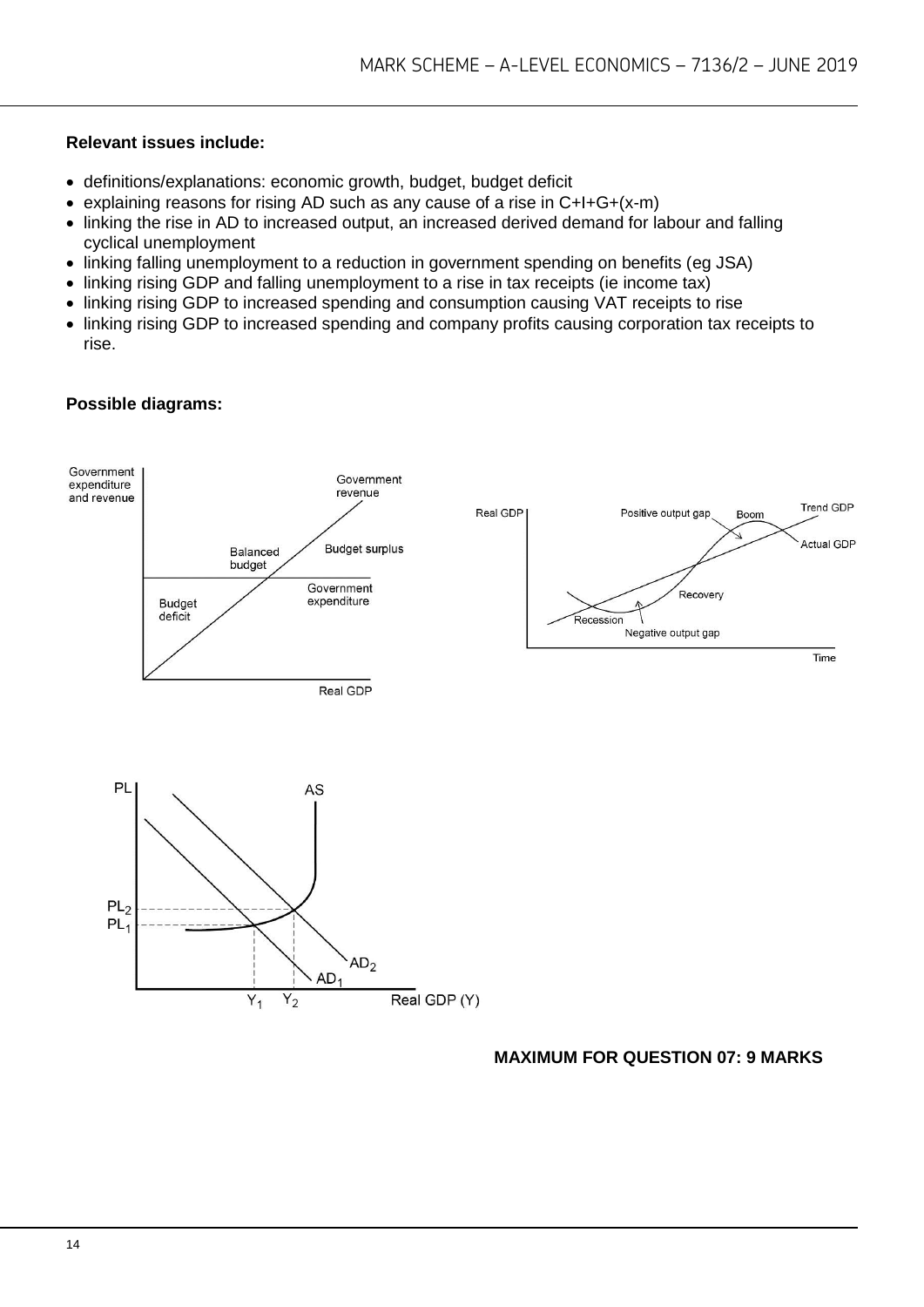#### **Relevant issues include:**

- definitions/explanations: economic growth, budget, budget deficit
- explaining reasons for rising AD such as any cause of a rise in C+I+G+(x-m)
- linking the rise in AD to increased output, an increased derived demand for labour and falling cyclical unemployment
- linking falling unemployment to a reduction in government spending on benefits (eg JSA)
- linking rising GDP and falling unemployment to a rise in tax receipts (ie income tax)
- linking rising GDP to increased spending and consumption causing VAT receipts to rise
- linking rising GDP to increased spending and company profits causing corporation tax receipts to rise.

#### **Possible diagrams:**



#### **MAXIMUM FOR QUESTION 07: 9 MARKS**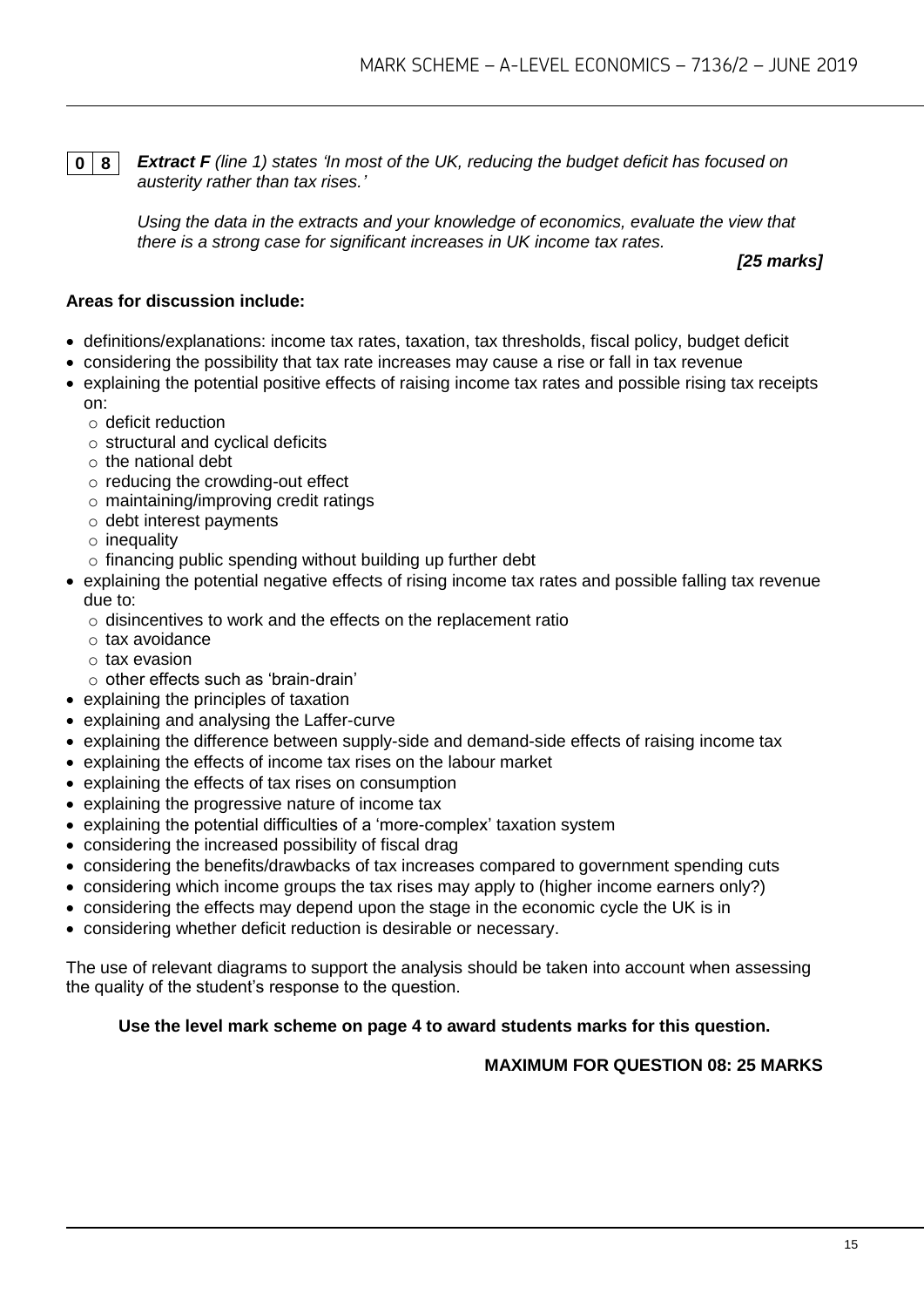**0 8** *Extract F (line 1) states 'In most of the UK, reducing the budget deficit has focused on austerity rather than tax rises.'*

*Using the data in the extracts and your knowledge of economics, evaluate the view that there is a strong case for significant increases in UK income tax rates.*

*[25 marks]*

#### **Areas for discussion include:**

- definitions/explanations: income tax rates, taxation, tax thresholds, fiscal policy, budget deficit
- considering the possibility that tax rate increases may cause a rise or fall in tax revenue
- explaining the potential positive effects of raising income tax rates and possible rising tax receipts on:
	- o deficit reduction
	- o structural and cyclical deficits
	- $\circ$  the national debt
	- o reducing the crowding-out effect
	- o maintaining/improving credit ratings
	- o debt interest payments
	- $\circ$  inequality
	- o financing public spending without building up further debt
- explaining the potential negative effects of rising income tax rates and possible falling tax revenue due to:
	- o disincentives to work and the effects on the replacement ratio
	- o tax avoidance
	- o tax evasion
	- o other effects such as 'brain-drain'
- explaining the principles of taxation
- explaining and analysing the Laffer-curve
- explaining the difference between supply-side and demand-side effects of raising income tax
- explaining the effects of income tax rises on the labour market
- explaining the effects of tax rises on consumption
- explaining the progressive nature of income tax
- explaining the potential difficulties of a 'more-complex' taxation system
- considering the increased possibility of fiscal drag
- considering the benefits/drawbacks of tax increases compared to government spending cuts
- considering which income groups the tax rises may apply to (higher income earners only?)
- considering the effects may depend upon the stage in the economic cycle the UK is in
- considering whether deficit reduction is desirable or necessary.

The use of relevant diagrams to support the analysis should be taken into account when assessing the quality of the student's response to the question.

#### **Use the level mark scheme on page 4 to award students marks for this question.**

#### **MAXIMUM FOR QUESTION 08: 25 MARKS**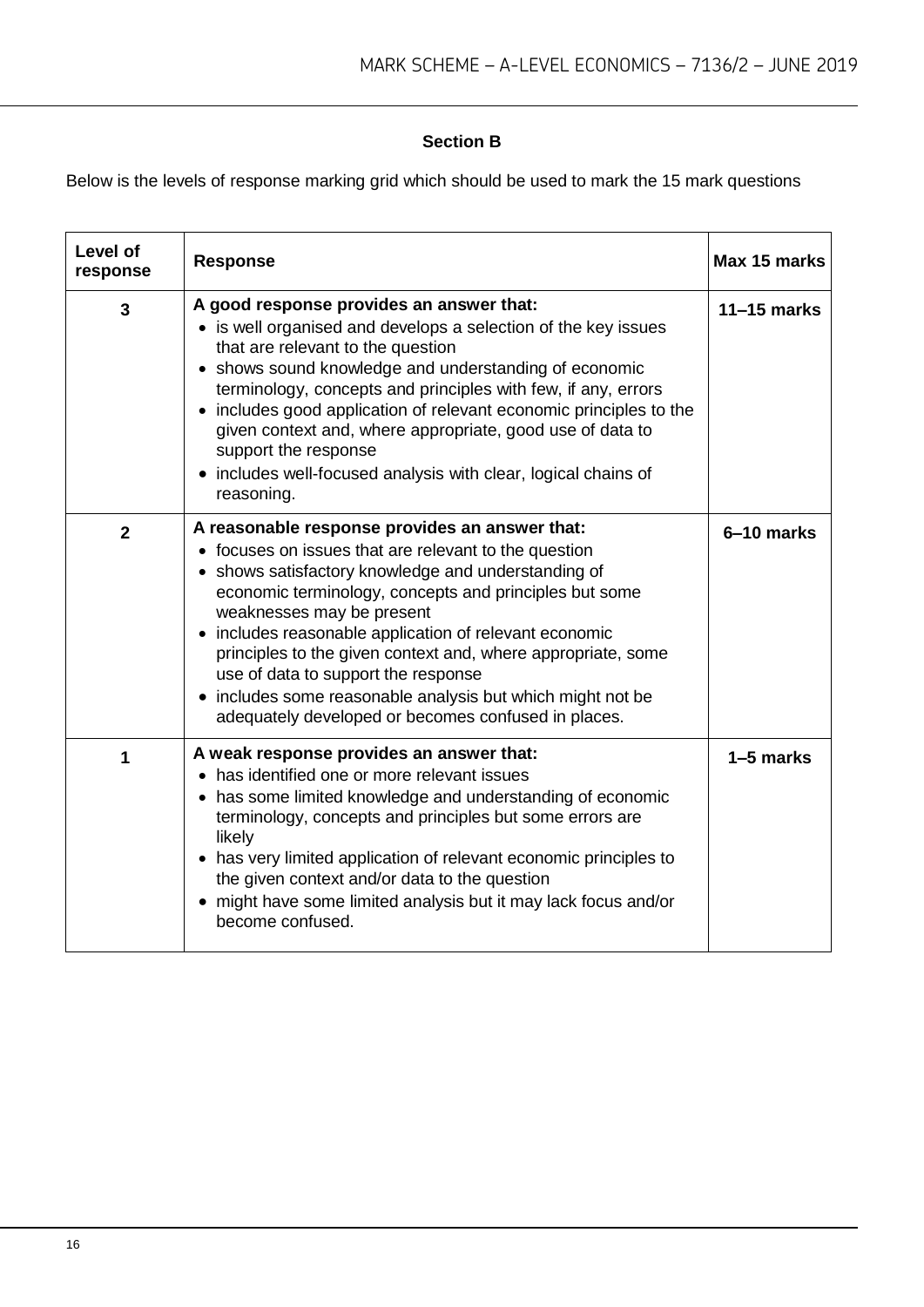#### **Section B**

Below is the levels of response marking grid which should be used to mark the 15 mark questions

| Level of<br>response | <b>Response</b>                                                                                                                                                                                                                                                                                                                                                                                                                                                                                                                             | Max 15 marks  |
|----------------------|---------------------------------------------------------------------------------------------------------------------------------------------------------------------------------------------------------------------------------------------------------------------------------------------------------------------------------------------------------------------------------------------------------------------------------------------------------------------------------------------------------------------------------------------|---------------|
| 3                    | A good response provides an answer that:<br>• is well organised and develops a selection of the key issues<br>that are relevant to the question<br>• shows sound knowledge and understanding of economic<br>terminology, concepts and principles with few, if any, errors<br>• includes good application of relevant economic principles to the<br>given context and, where appropriate, good use of data to<br>support the response<br>• includes well-focused analysis with clear, logical chains of<br>reasoning.                        | $11-15$ marks |
| $\overline{2}$       | A reasonable response provides an answer that:<br>• focuses on issues that are relevant to the question<br>• shows satisfactory knowledge and understanding of<br>economic terminology, concepts and principles but some<br>weaknesses may be present<br>• includes reasonable application of relevant economic<br>principles to the given context and, where appropriate, some<br>use of data to support the response<br>• includes some reasonable analysis but which might not be<br>adequately developed or becomes confused in places. | 6-10 marks    |
| 1                    | A weak response provides an answer that:<br>• has identified one or more relevant issues<br>• has some limited knowledge and understanding of economic<br>terminology, concepts and principles but some errors are<br>likely<br>• has very limited application of relevant economic principles to<br>the given context and/or data to the question<br>• might have some limited analysis but it may lack focus and/or<br>become confused.                                                                                                   | 1-5 marks     |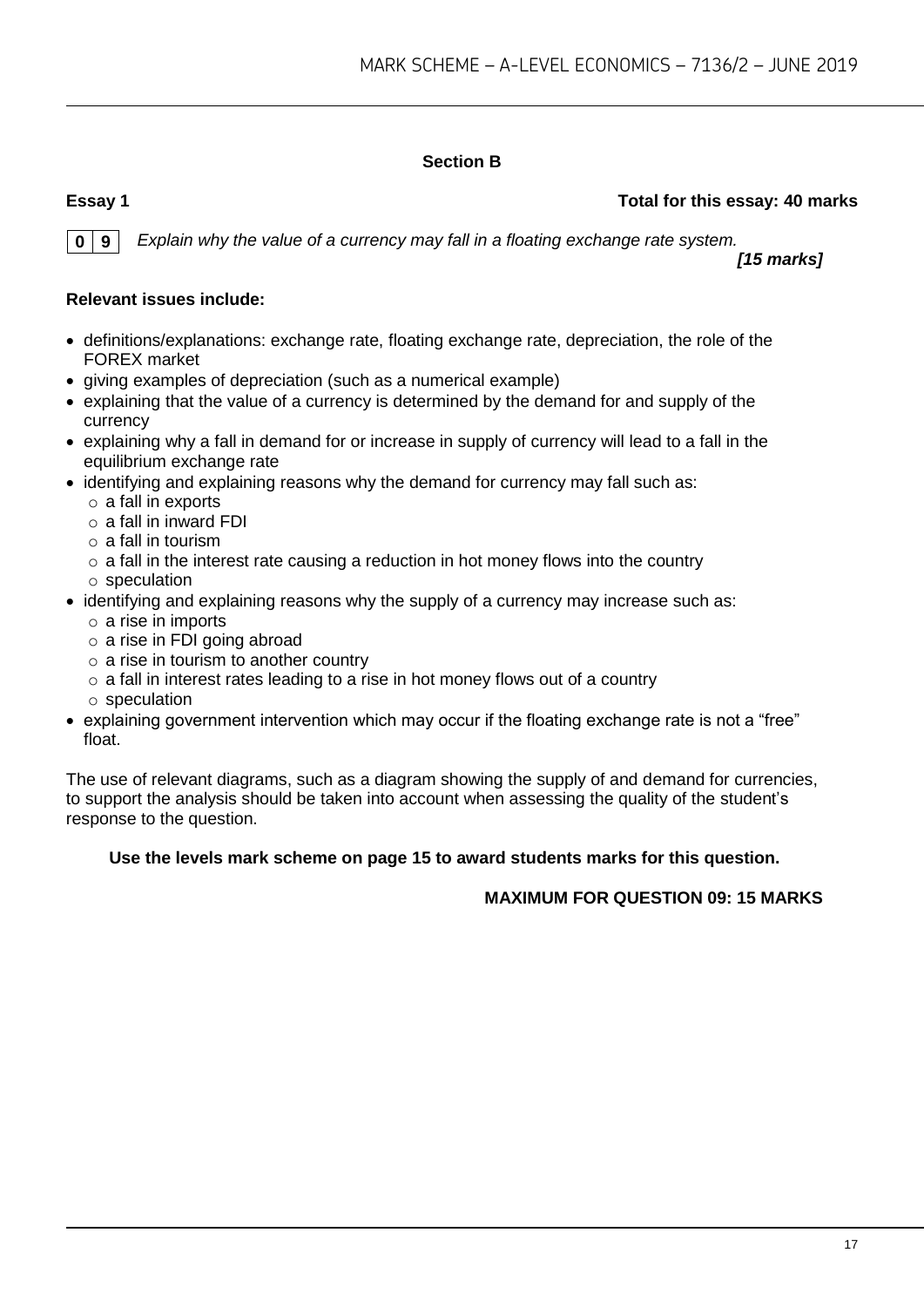## **Section B**

#### **Essay 1 Total for this essay: 40 marks**

**0 9** *Explain why the value of a currency may fall in a floating exchange rate system.*

*[15 marks]*

#### **Relevant issues include:**

- definitions/explanations: exchange rate, floating exchange rate, depreciation, the role of the FOREX market
- giving examples of depreciation (such as a numerical example)
- explaining that the value of a currency is determined by the demand for and supply of the currency
- explaining why a fall in demand for or increase in supply of currency will lead to a fall in the equilibrium exchange rate
- identifying and explaining reasons why the demand for currency may fall such as:
	- o a fall in exports
	- $\circ$  a fall in inward FDI
	- $\circ$  a fall in tourism
	- $\circ$  a fall in the interest rate causing a reduction in hot money flows into the country
	- o speculation
- identifying and explaining reasons why the supply of a currency may increase such as:
	- o a rise in imports
	- o a rise in FDI going abroad
	- $\circ$  a rise in tourism to another country
	- $\circ$  a fall in interest rates leading to a rise in hot money flows out of a country
	- o speculation
- explaining government intervention which may occur if the floating exchange rate is not a "free" float.

The use of relevant diagrams, such as a diagram showing the supply of and demand for currencies, to support the analysis should be taken into account when assessing the quality of the student's response to the question.

#### **Use the levels mark scheme on page 15 to award students marks for this question.**

#### **MAXIMUM FOR QUESTION 09: 15 MARKS**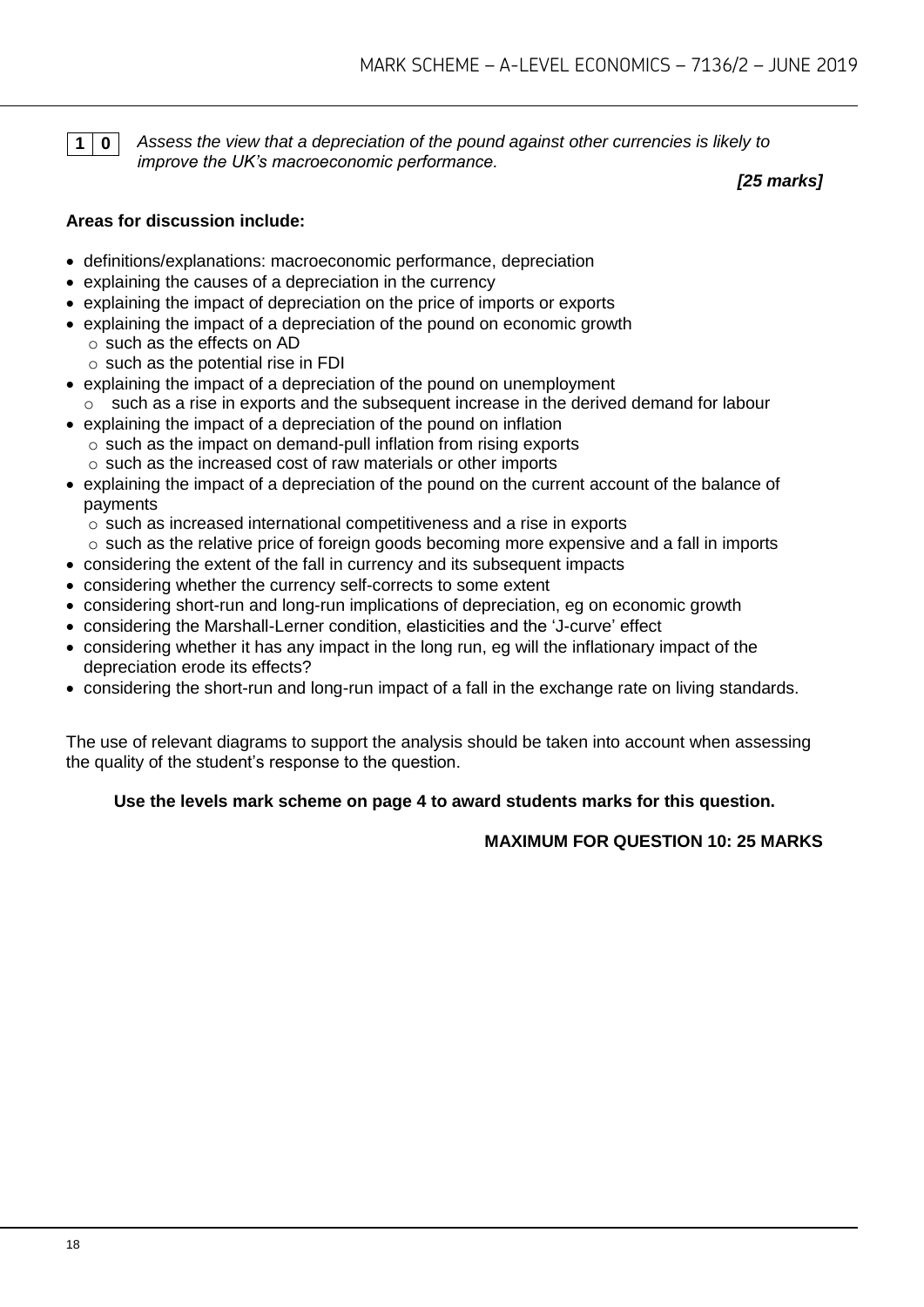**1 0** *Assess the view that a depreciation of the pound against other currencies is likely to improve the UK's macroeconomic performance.*

*[25 marks]*

#### **Areas for discussion include:**

- definitions/explanations: macroeconomic performance, depreciation
- explaining the causes of a depreciation in the currency
- explaining the impact of depreciation on the price of imports or exports
- explaining the impact of a depreciation of the pound on economic growth o such as the effects on AD
	- $\circ$  such as the potential rise in FDI
- explaining the impact of a depreciation of the pound on unemployment  $\circ$  such as a rise in exports and the subsequent increase in the derived demand for labour
- explaining the impact of a depreciation of the pound on inflation o such as the impact on demand-pull inflation from rising exports o such as the increased cost of raw materials or other imports
- explaining the impact of a depreciation of the pound on the current account of the balance of payments
	- o such as increased international competitiveness and a rise in exports
	- $\circ$  such as the relative price of foreign goods becoming more expensive and a fall in imports
- considering the extent of the fall in currency and its subsequent impacts
- considering whether the currency self-corrects to some extent
- considering short-run and long-run implications of depreciation, eg on economic growth
- considering the Marshall-Lerner condition, elasticities and the 'J-curve' effect
- considering whether it has any impact in the long run, eg will the inflationary impact of the depreciation erode its effects?
- considering the short-run and long-run impact of a fall in the exchange rate on living standards.

The use of relevant diagrams to support the analysis should be taken into account when assessing the quality of the student's response to the question.

#### **Use the levels mark scheme on page 4 to award students marks for this question.**

**MAXIMUM FOR QUESTION 10: 25 MARKS**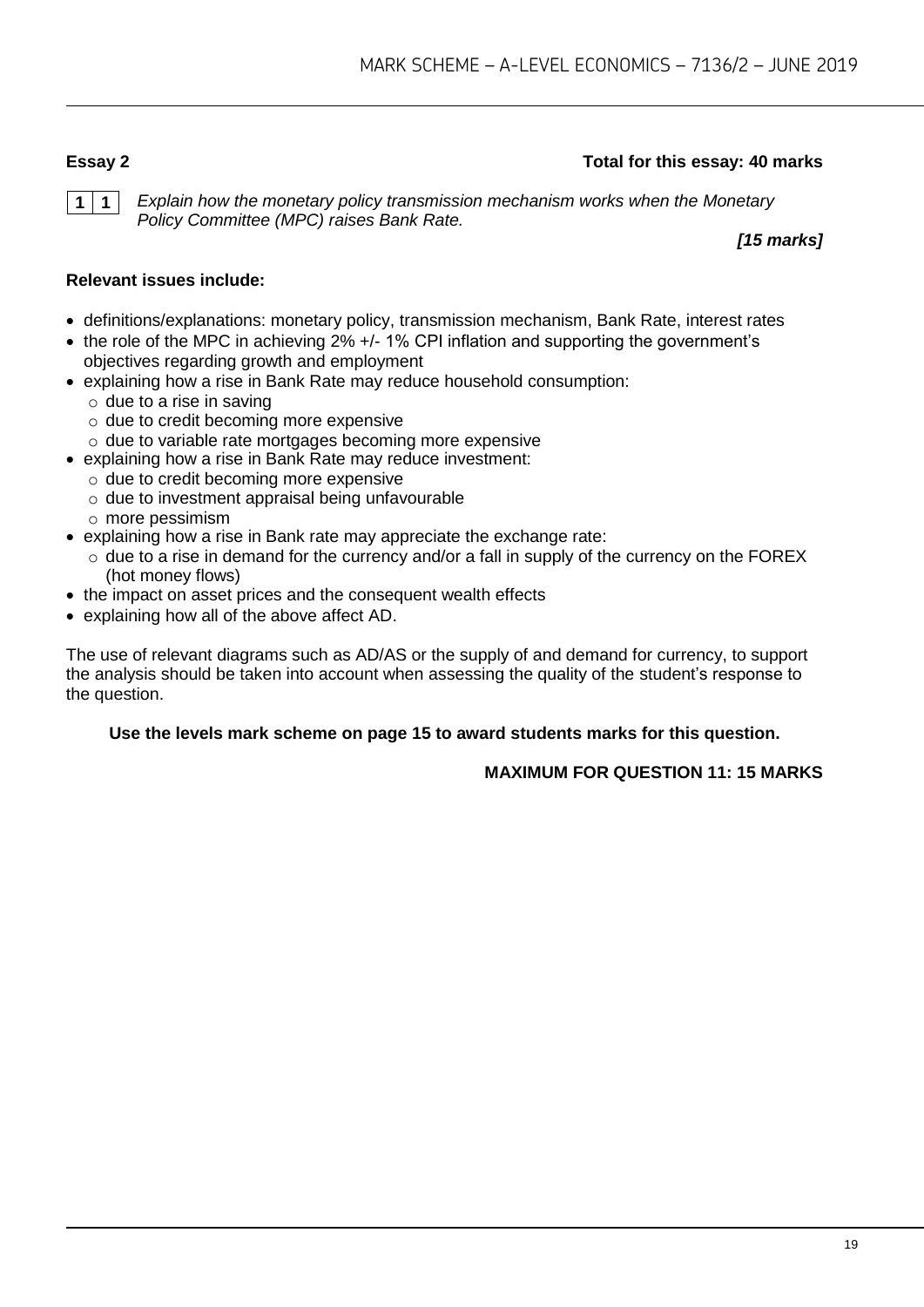#### **Essay 2 Total for this essay: 40 marks**

**1 1** *Explain how the monetary policy transmission mechanism works when the Monetary Policy Committee (MPC) raises Bank Rate.*

*[15 marks]*

#### **Relevant issues include:**

- definitions/explanations: monetary policy, transmission mechanism, Bank Rate, interest rates
- the role of the MPC in achieving 2% +/- 1% CPI inflation and supporting the government's objectives regarding growth and employment
- explaining how a rise in Bank Rate may reduce household consumption:
	- $\circ$  due to a rise in saving
	- o due to credit becoming more expensive
	- o due to variable rate mortgages becoming more expensive
- explaining how a rise in Bank Rate may reduce investment:
	- o due to credit becoming more expensive
		- o due to investment appraisal being unfavourable
		- o more pessimism
- explaining how a rise in Bank rate may appreciate the exchange rate:
	- $\circ$  due to a rise in demand for the currency and/or a fall in supply of the currency on the FOREX (hot money flows)
- the impact on asset prices and the consequent wealth effects
- explaining how all of the above affect AD.

The use of relevant diagrams such as AD/AS or the supply of and demand for currency, to support the analysis should be taken into account when assessing the quality of the student's response to the question.

#### **Use the levels mark scheme on page 15 to award students marks for this question.**

#### **MAXIMUM FOR QUESTION 11: 15 MARKS**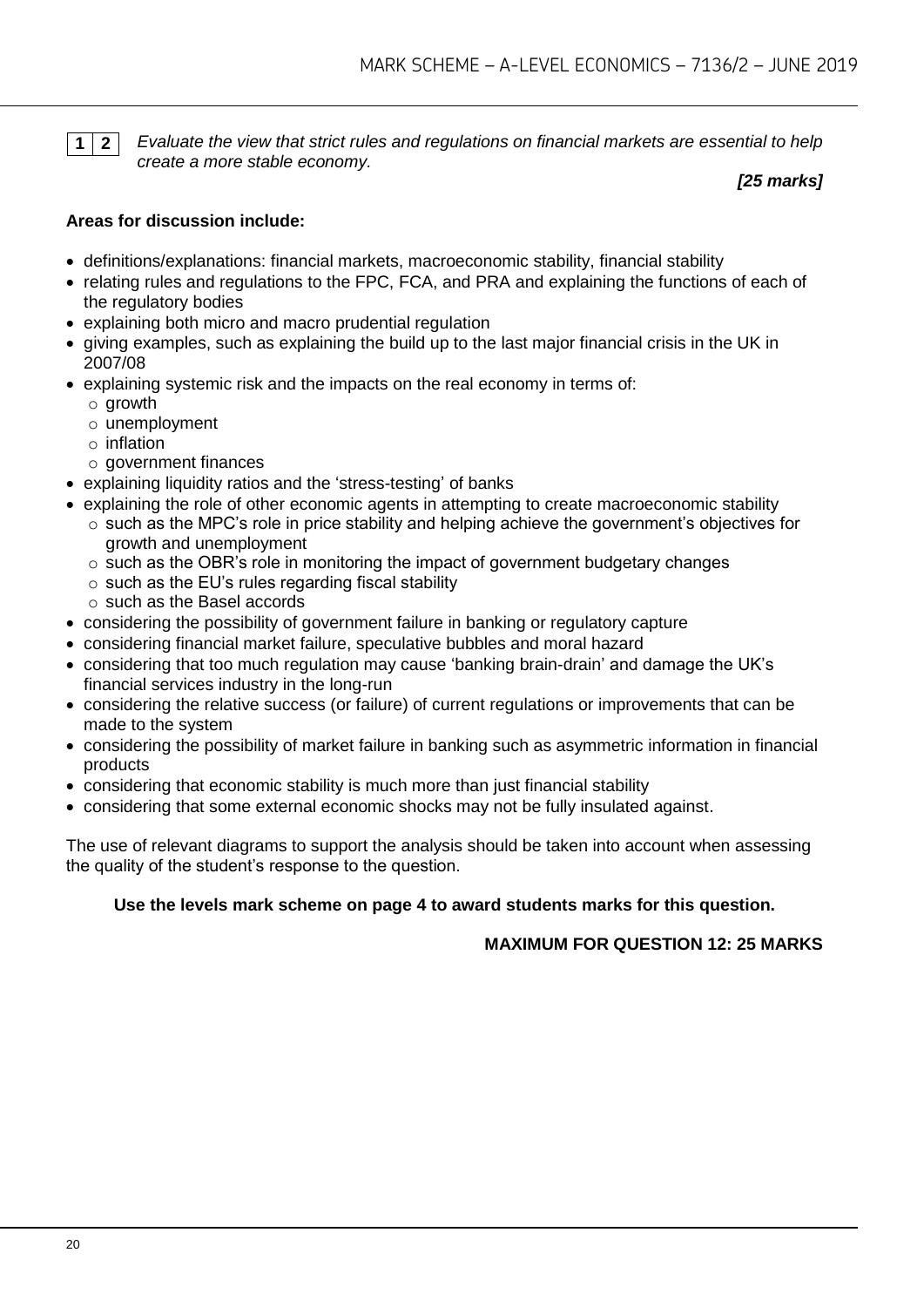**1 2** *Evaluate the view that strict rules and regulations on financial markets are essential to help create a more stable economy.*

*[25 marks]*

#### **Areas for discussion include:**

- definitions/explanations: financial markets, macroeconomic stability, financial stability
- relating rules and regulations to the FPC, FCA, and PRA and explaining the functions of each of the regulatory bodies
- explaining both micro and macro prudential regulation
- giving examples, such as explaining the build up to the last major financial crisis in the UK in 2007/08
- explaining systemic risk and the impacts on the real economy in terms of:
	- o growth
	- o unemployment
	- o inflation
	- $\circ$  government finances
- explaining liquidity ratios and the 'stress-testing' of banks
- explaining the role of other economic agents in attempting to create macroeconomic stability
	- $\circ$  such as the MPC's role in price stability and helping achieve the government's objectives for growth and unemployment
	- $\circ$  such as the OBR's role in monitoring the impact of government budgetary changes
	- $\circ$  such as the EU's rules regarding fiscal stability
	- o such as the Basel accords
- considering the possibility of government failure in banking or regulatory capture
- considering financial market failure, speculative bubbles and moral hazard
- considering that too much regulation may cause 'banking brain-drain' and damage the UK's financial services industry in the long-run
- considering the relative success (or failure) of current regulations or improvements that can be made to the system
- considering the possibility of market failure in banking such as asymmetric information in financial products
- considering that economic stability is much more than just financial stability
- considering that some external economic shocks may not be fully insulated against.

The use of relevant diagrams to support the analysis should be taken into account when assessing the quality of the student's response to the question.

#### **Use the levels mark scheme on page 4 to award students marks for this question.**

**MAXIMUM FOR QUESTION 12: 25 MARKS**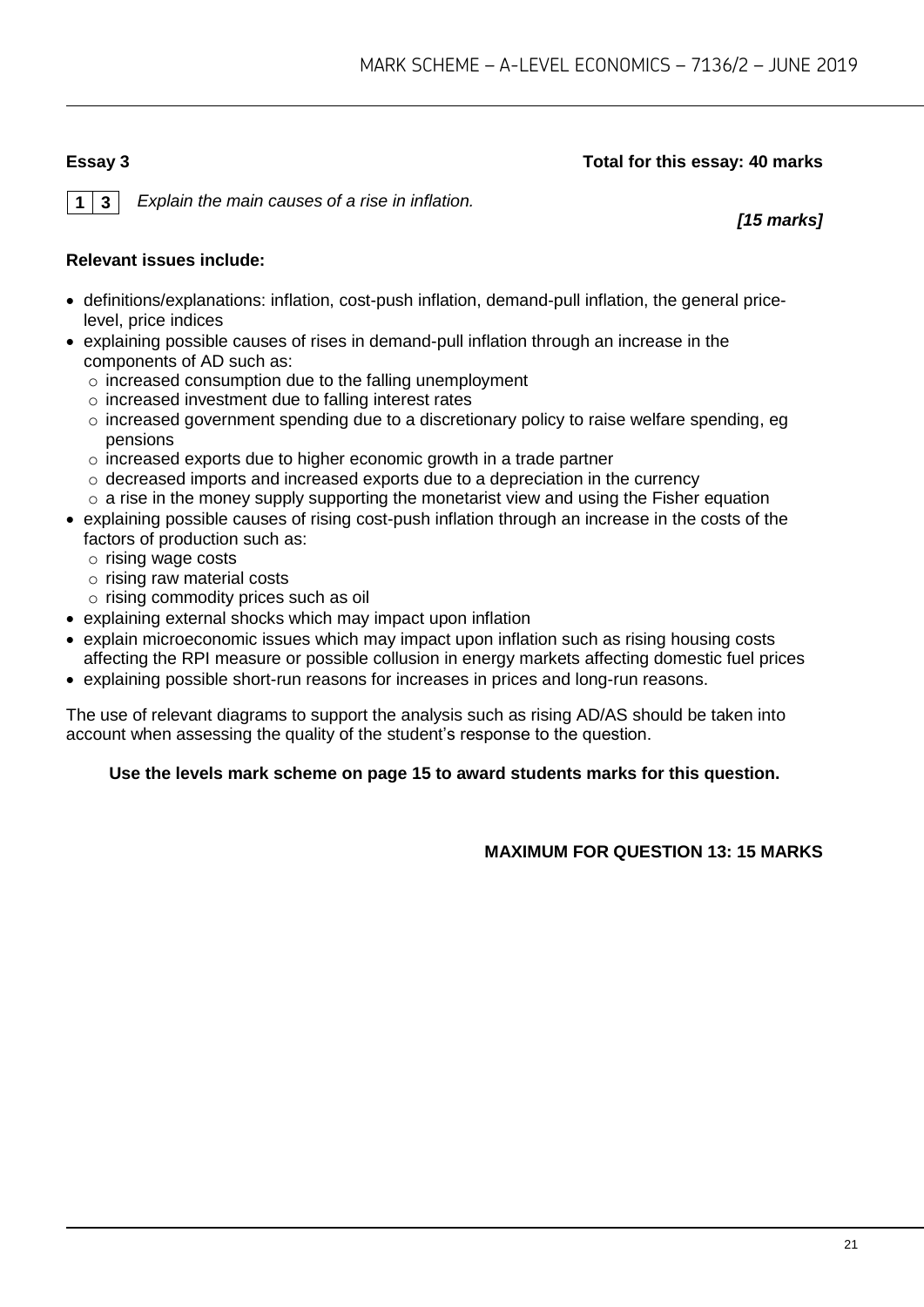#### **Essay 3 Total for this essay: 40 marks**

**1 3** *Explain the main causes of a rise in inflation.*

*[15 marks]*

#### **Relevant issues include:**

- definitions/explanations: inflation, cost-push inflation, demand-pull inflation, the general pricelevel, price indices
- explaining possible causes of rises in demand-pull inflation through an increase in the components of AD such as:
	- o increased consumption due to the falling unemployment
	- o increased investment due to falling interest rates
	- o increased government spending due to a discretionary policy to raise welfare spending, eg pensions
	- o increased exports due to higher economic growth in a trade partner
	- o decreased imports and increased exports due to a depreciation in the currency
	- $\circ$  a rise in the money supply supporting the monetarist view and using the Fisher equation
- explaining possible causes of rising cost-push inflation through an increase in the costs of the factors of production such as:
	- o rising wage costs
	- o rising raw material costs
	- o rising commodity prices such as oil
- explaining external shocks which may impact upon inflation
- explain microeconomic issues which may impact upon inflation such as rising housing costs affecting the RPI measure or possible collusion in energy markets affecting domestic fuel prices
- explaining possible short-run reasons for increases in prices and long-run reasons.

The use of relevant diagrams to support the analysis such as rising AD/AS should be taken into account when assessing the quality of the student's response to the question.

#### **Use the levels mark scheme on page 15 to award students marks for this question.**

**MAXIMUM FOR QUESTION 13: 15 MARKS**